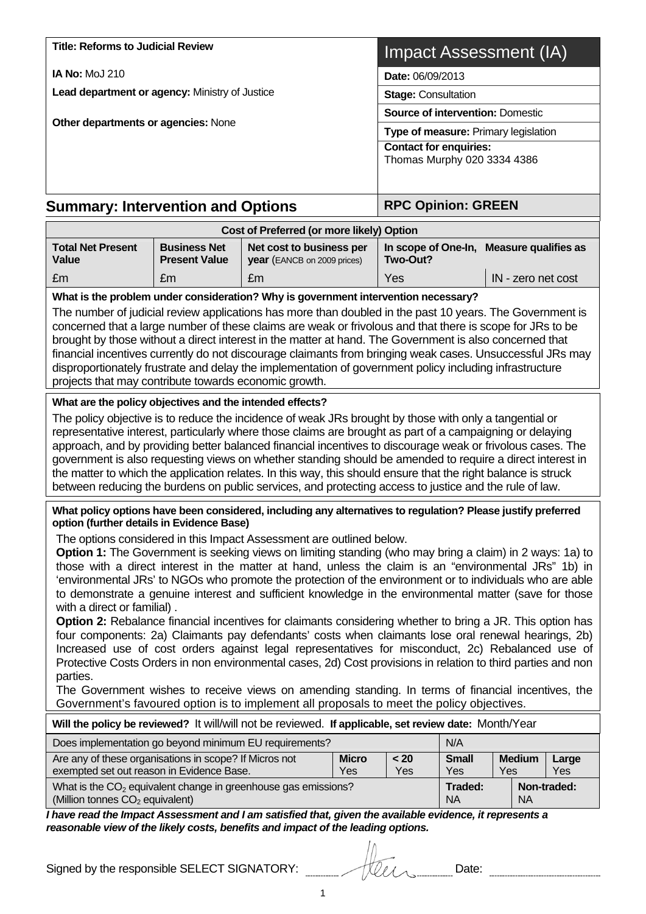| <b>Title: Reforms to Judicial Review</b>                                                                                                                                                                                                                                                                                                                                                                                                                                                                                                                                                                                                                                                                                                                                                                                                                                                                                                                                                           |                                             | <b>Impact Assessment (IA)</b>                           |                               |                                                      |                                                  |                    |  |  |
|----------------------------------------------------------------------------------------------------------------------------------------------------------------------------------------------------------------------------------------------------------------------------------------------------------------------------------------------------------------------------------------------------------------------------------------------------------------------------------------------------------------------------------------------------------------------------------------------------------------------------------------------------------------------------------------------------------------------------------------------------------------------------------------------------------------------------------------------------------------------------------------------------------------------------------------------------------------------------------------------------|---------------------------------------------|---------------------------------------------------------|-------------------------------|------------------------------------------------------|--------------------------------------------------|--------------------|--|--|
| <b>IA No: MoJ 210</b>                                                                                                                                                                                                                                                                                                                                                                                                                                                                                                                                                                                                                                                                                                                                                                                                                                                                                                                                                                              |                                             | Date: 06/09/2013                                        |                               |                                                      |                                                  |                    |  |  |
| Lead department or agency: Ministry of Justice                                                                                                                                                                                                                                                                                                                                                                                                                                                                                                                                                                                                                                                                                                                                                                                                                                                                                                                                                     |                                             |                                                         |                               | <b>Stage: Consultation</b>                           |                                                  |                    |  |  |
|                                                                                                                                                                                                                                                                                                                                                                                                                                                                                                                                                                                                                                                                                                                                                                                                                                                                                                                                                                                                    |                                             |                                                         |                               | <b>Source of intervention: Domestic</b>              |                                                  |                    |  |  |
| Other departments or agencies: None                                                                                                                                                                                                                                                                                                                                                                                                                                                                                                                                                                                                                                                                                                                                                                                                                                                                                                                                                                |                                             | Type of measure: Primary legislation                    |                               |                                                      |                                                  |                    |  |  |
|                                                                                                                                                                                                                                                                                                                                                                                                                                                                                                                                                                                                                                                                                                                                                                                                                                                                                                                                                                                                    |                                             |                                                         | <b>Contact for enquiries:</b> |                                                      |                                                  |                    |  |  |
|                                                                                                                                                                                                                                                                                                                                                                                                                                                                                                                                                                                                                                                                                                                                                                                                                                                                                                                                                                                                    |                                             |                                                         | Thomas Murphy 020 3334 4386   |                                                      |                                                  |                    |  |  |
|                                                                                                                                                                                                                                                                                                                                                                                                                                                                                                                                                                                                                                                                                                                                                                                                                                                                                                                                                                                                    |                                             |                                                         |                               |                                                      |                                                  |                    |  |  |
| <b>Summary: Intervention and Options</b>                                                                                                                                                                                                                                                                                                                                                                                                                                                                                                                                                                                                                                                                                                                                                                                                                                                                                                                                                           |                                             | <b>RPC Opinion: GREEN</b>                               |                               |                                                      |                                                  |                    |  |  |
|                                                                                                                                                                                                                                                                                                                                                                                                                                                                                                                                                                                                                                                                                                                                                                                                                                                                                                                                                                                                    |                                             | Cost of Preferred (or more likely) Option               |                               |                                                      |                                                  |                    |  |  |
| <b>Total Net Present</b><br><b>Value</b>                                                                                                                                                                                                                                                                                                                                                                                                                                                                                                                                                                                                                                                                                                                                                                                                                                                                                                                                                           | <b>Business Net</b><br><b>Present Value</b> | Net cost to business per<br>year (EANCB on 2009 prices) |                               | In scope of One-In, Measure qualifies as<br>Two-Out? |                                                  |                    |  |  |
| £m                                                                                                                                                                                                                                                                                                                                                                                                                                                                                                                                                                                                                                                                                                                                                                                                                                                                                                                                                                                                 | £m                                          | £m                                                      |                               | Yes                                                  |                                                  | IN - zero net cost |  |  |
| What is the problem under consideration? Why is government intervention necessary?                                                                                                                                                                                                                                                                                                                                                                                                                                                                                                                                                                                                                                                                                                                                                                                                                                                                                                                 |                                             |                                                         |                               |                                                      |                                                  |                    |  |  |
| The number of judicial review applications has more than doubled in the past 10 years. The Government is<br>concerned that a large number of these claims are weak or frivolous and that there is scope for JRs to be<br>brought by those without a direct interest in the matter at hand. The Government is also concerned that<br>financial incentives currently do not discourage claimants from bringing weak cases. Unsuccessful JRs may<br>disproportionately frustrate and delay the implementation of government policy including infrastructure<br>projects that may contribute towards economic growth.                                                                                                                                                                                                                                                                                                                                                                                  |                                             |                                                         |                               |                                                      |                                                  |                    |  |  |
| What are the policy objectives and the intended effects?                                                                                                                                                                                                                                                                                                                                                                                                                                                                                                                                                                                                                                                                                                                                                                                                                                                                                                                                           |                                             |                                                         |                               |                                                      |                                                  |                    |  |  |
| The policy objective is to reduce the incidence of weak JRs brought by those with only a tangential or<br>representative interest, particularly where those claims are brought as part of a campaigning or delaying<br>approach, and by providing better balanced financial incentives to discourage weak or frivolous cases. The<br>government is also requesting views on whether standing should be amended to require a direct interest in<br>the matter to which the application relates. In this way, this should ensure that the right balance is struck<br>between reducing the burdens on public services, and protecting access to justice and the rule of law.                                                                                                                                                                                                                                                                                                                          |                                             |                                                         |                               |                                                      |                                                  |                    |  |  |
| What policy options have been considered, including any alternatives to regulation? Please justify preferred<br>option (further details in Evidence Base)                                                                                                                                                                                                                                                                                                                                                                                                                                                                                                                                                                                                                                                                                                                                                                                                                                          |                                             |                                                         |                               |                                                      |                                                  |                    |  |  |
| The options considered in this Impact Assessment are outlined below.<br>Option 1: The Government is seeking views on limiting standing (who may bring a claim) in 2 ways: 1a) to<br>those with a direct interest in the matter at hand, unless the claim is an "environmental JRs" 1b) in<br>'environmental JRs' to NGOs who promote the protection of the environment or to individuals who are able<br>to demonstrate a genuine interest and sufficient knowledge in the environmental matter (save for those<br>with a direct or familial).<br>Option 2: Rebalance financial incentives for claimants considering whether to bring a JR. This option has<br>four components: 2a) Claimants pay defendants' costs when claimants lose oral renewal hearings, 2b)<br>Increased use of cost orders against legal representatives for misconduct, 2c) Rebalanced use of<br>Protective Costs Orders in non environmental cases, 2d) Cost provisions in relation to third parties and non<br>parties. |                                             |                                                         |                               |                                                      |                                                  |                    |  |  |
| The Government wishes to receive views on amending standing. In terms of financial incentives, the<br>Government's favoured option is to implement all proposals to meet the policy objectives.                                                                                                                                                                                                                                                                                                                                                                                                                                                                                                                                                                                                                                                                                                                                                                                                    |                                             |                                                         |                               |                                                      |                                                  |                    |  |  |
| Will the policy be reviewed? It will/will not be reviewed. If applicable, set review date: Month/Year                                                                                                                                                                                                                                                                                                                                                                                                                                                                                                                                                                                                                                                                                                                                                                                                                                                                                              |                                             |                                                         |                               |                                                      |                                                  |                    |  |  |
| Does implementation go beyond minimum EU requirements?                                                                                                                                                                                                                                                                                                                                                                                                                                                                                                                                                                                                                                                                                                                                                                                                                                                                                                                                             |                                             |                                                         |                               |                                                      | N/A                                              |                    |  |  |
| Are any of these organisations in scope? If Micros not<br>exempted set out reason in Evidence Base.                                                                                                                                                                                                                                                                                                                                                                                                                                                                                                                                                                                                                                                                                                                                                                                                                                                                                                | $20$<br>Yes                                 | <b>Small</b><br>Yes                                     | <b>Medium</b><br>Yes          | Large<br>Yes                                         |                                                  |                    |  |  |
| What is the $CO2$ equivalent change in greenhouse gas emissions?<br>(Million tonnes CO <sub>2</sub> equivalent)                                                                                                                                                                                                                                                                                                                                                                                                                                                                                                                                                                                                                                                                                                                                                                                                                                                                                    |                                             |                                                         |                               |                                                      | Traded:<br>Non-traded:<br><b>NA</b><br><b>NA</b> |                    |  |  |
| I have read the Impact Assessment and I am satisfied that, given the available evidence, it represents a<br>reasonable view of the likely costs, benefits and impact of the leading options.                                                                                                                                                                                                                                                                                                                                                                                                                                                                                                                                                                                                                                                                                                                                                                                                       |                                             |                                                         |                               |                                                      |                                                  |                    |  |  |

| Signed by the responsible SELECT SIGNATORY: | tleen | Date: |
|---------------------------------------------|-------|-------|
|                                             |       |       |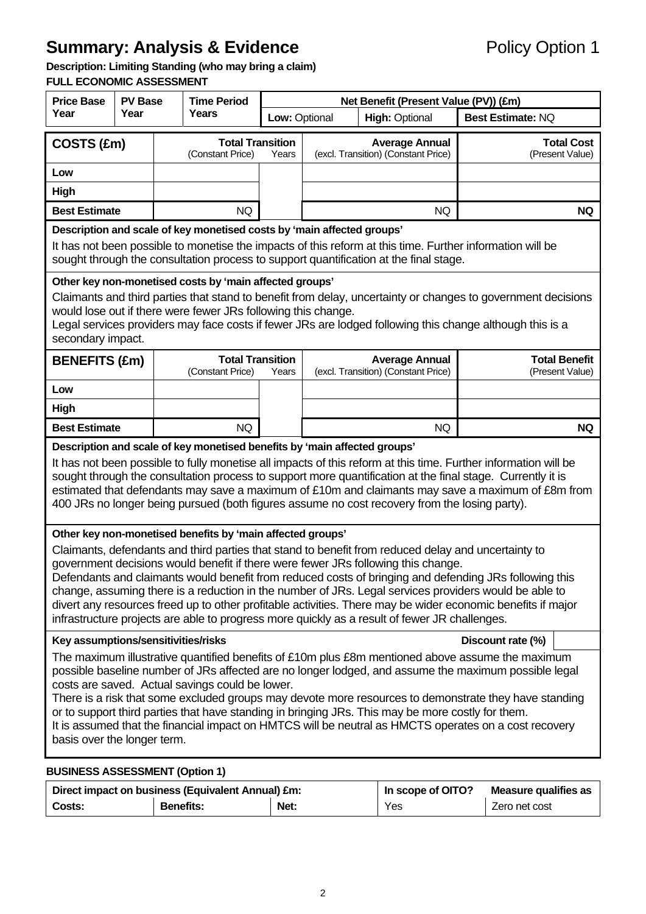# **Summary: Analysis & Evidence Policy Option 1**

## **Description: Limiting Standing (who may bring a claim)**

**FULL ECONOMIC ASSESSMENT** 

| <b>Price Base</b>                                                                                                                                                                                                                                                                                                                                                                                                                                                                                                                                                                                                           | <b>PV Base</b> |                                             | <b>Time Period</b>                          |               | Net Benefit (Present Value (PV)) (£m)                        |                                                              |                                         |  |  |  |
|-----------------------------------------------------------------------------------------------------------------------------------------------------------------------------------------------------------------------------------------------------------------------------------------------------------------------------------------------------------------------------------------------------------------------------------------------------------------------------------------------------------------------------------------------------------------------------------------------------------------------------|----------------|---------------------------------------------|---------------------------------------------|---------------|--------------------------------------------------------------|--------------------------------------------------------------|-----------------------------------------|--|--|--|
| Year<br>Year                                                                                                                                                                                                                                                                                                                                                                                                                                                                                                                                                                                                                |                | Years                                       |                                             | Low: Optional |                                                              | <b>High: Optional</b>                                        | <b>Best Estimate: NQ</b>                |  |  |  |
| COSTS (£m)                                                                                                                                                                                                                                                                                                                                                                                                                                                                                                                                                                                                                  |                | <b>Total Transition</b><br>(Constant Price) |                                             | Years         | <b>Average Annual</b><br>(excl. Transition) (Constant Price) |                                                              | <b>Total Cost</b><br>(Present Value)    |  |  |  |
| Low                                                                                                                                                                                                                                                                                                                                                                                                                                                                                                                                                                                                                         |                |                                             |                                             |               |                                                              |                                                              |                                         |  |  |  |
| High                                                                                                                                                                                                                                                                                                                                                                                                                                                                                                                                                                                                                        |                |                                             |                                             |               |                                                              |                                                              |                                         |  |  |  |
| <b>Best Estimate</b>                                                                                                                                                                                                                                                                                                                                                                                                                                                                                                                                                                                                        |                |                                             | <b>NQ</b>                                   |               |                                                              | <b>NQ</b>                                                    | <b>NQ</b>                               |  |  |  |
| Description and scale of key monetised costs by 'main affected groups'<br>It has not been possible to monetise the impacts of this reform at this time. Further information will be<br>sought through the consultation process to support quantification at the final stage.                                                                                                                                                                                                                                                                                                                                                |                |                                             |                                             |               |                                                              |                                                              |                                         |  |  |  |
| Other key non-monetised costs by 'main affected groups'<br>Claimants and third parties that stand to benefit from delay, uncertainty or changes to government decisions<br>would lose out if there were fewer JRs following this change.<br>Legal services providers may face costs if fewer JRs are lodged following this change although this is a<br>secondary impact.                                                                                                                                                                                                                                                   |                |                                             |                                             |               |                                                              |                                                              |                                         |  |  |  |
| <b>BENEFITS (£m)</b>                                                                                                                                                                                                                                                                                                                                                                                                                                                                                                                                                                                                        |                |                                             | <b>Total Transition</b><br>(Constant Price) | Years         |                                                              | <b>Average Annual</b><br>(excl. Transition) (Constant Price) | <b>Total Benefit</b><br>(Present Value) |  |  |  |
| Low                                                                                                                                                                                                                                                                                                                                                                                                                                                                                                                                                                                                                         |                |                                             |                                             |               |                                                              |                                                              |                                         |  |  |  |
| High                                                                                                                                                                                                                                                                                                                                                                                                                                                                                                                                                                                                                        |                |                                             |                                             |               |                                                              |                                                              |                                         |  |  |  |
| <b>Best Estimate</b>                                                                                                                                                                                                                                                                                                                                                                                                                                                                                                                                                                                                        | <b>NQ</b>      |                                             | <b>NQ</b>                                   | <b>NQ</b>     |                                                              |                                                              |                                         |  |  |  |
| Description and scale of key monetised benefits by 'main affected groups'<br>It has not been possible to fully monetise all impacts of this reform at this time. Further information will be<br>sought through the consultation process to support more quantification at the final stage. Currently it is<br>estimated that defendants may save a maximum of £10m and claimants may save a maximum of £8m from<br>400 JRs no longer being pursued (both figures assume no cost recovery from the losing party).<br>Other key non-monetised benefits by 'main affected groups'                                              |                |                                             |                                             |               |                                                              |                                                              |                                         |  |  |  |
| Claimants, defendants and third parties that stand to benefit from reduced delay and uncertainty to<br>government decisions would benefit if there were fewer JRs following this change.<br>Defendants and claimants would benefit from reduced costs of bringing and defending JRs following this<br>change, assuming there is a reduction in the number of JRs. Legal services providers would be able to<br>divert any resources freed up to other profitable activities. There may be wider economic benefits if major<br>infrastructure projects are able to progress more quickly as a result of fewer JR challenges. |                |                                             |                                             |               |                                                              |                                                              |                                         |  |  |  |
| Key assumptions/sensitivities/risks<br>Discount rate (%)                                                                                                                                                                                                                                                                                                                                                                                                                                                                                                                                                                    |                |                                             |                                             |               |                                                              |                                                              |                                         |  |  |  |
| The maximum illustrative quantified benefits of £10m plus £8m mentioned above assume the maximum<br>possible baseline number of JRs affected are no longer lodged, and assume the maximum possible legal<br>costs are saved. Actual savings could be lower.<br>There is a risk that some excluded groups may devote more resources to demonstrate they have standing<br>or to support third parties that have standing in bringing JRs. This may be more costly for them.<br>It is assumed that the financial impact on HMTCS will be neutral as HMCTS operates on a cost recovery<br>basis over the longer term.           |                |                                             |                                             |               |                                                              |                                                              |                                         |  |  |  |
| <b>BUSINESS ASSESSMENT (Option 1)</b>                                                                                                                                                                                                                                                                                                                                                                                                                                                                                                                                                                                       |                |                                             |                                             |               |                                                              |                                                              |                                         |  |  |  |

|        | Direct impact on business (Equivalent Annual) £m: | In scope of OITO?<br>Measure qualifies as |     |               |
|--------|---------------------------------------------------|-------------------------------------------|-----|---------------|
| Costs: | <b>Benefits:</b>                                  | Net:                                      | Yes | Zero net cost |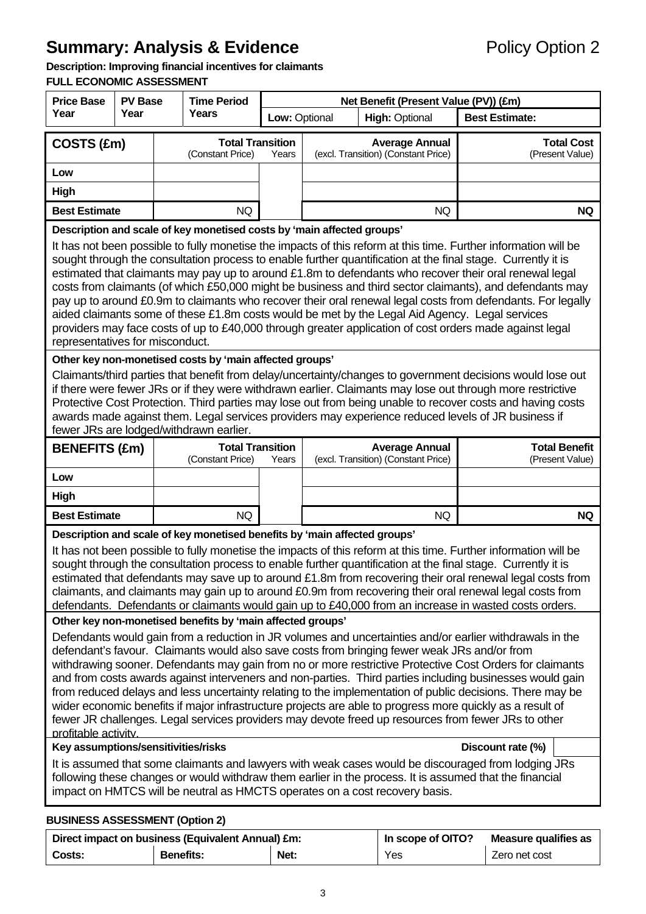# **Summary: Analysis & Evidence Policy Option 2**

#### **Description: Improving financial incentives for claimants**

#### **FULL ECONOMIC ASSESSMENT**

| <b>Price Base</b>                                                                                                                                                                                                                                                                                                                                                                                                                                                                                                                                                                                                                                                                                                                                                                                                                                                                                                                                                                                                                                                                                                                                                                                                                                             | <b>PV Base</b> | <b>Time Period</b> |                                             | Net Benefit (Present Value (PV)) (£m) |                                                              |                                                              |                                         |  |
|---------------------------------------------------------------------------------------------------------------------------------------------------------------------------------------------------------------------------------------------------------------------------------------------------------------------------------------------------------------------------------------------------------------------------------------------------------------------------------------------------------------------------------------------------------------------------------------------------------------------------------------------------------------------------------------------------------------------------------------------------------------------------------------------------------------------------------------------------------------------------------------------------------------------------------------------------------------------------------------------------------------------------------------------------------------------------------------------------------------------------------------------------------------------------------------------------------------------------------------------------------------|----------------|--------------------|---------------------------------------------|---------------------------------------|--------------------------------------------------------------|--------------------------------------------------------------|-----------------------------------------|--|
| Year<br>Year                                                                                                                                                                                                                                                                                                                                                                                                                                                                                                                                                                                                                                                                                                                                                                                                                                                                                                                                                                                                                                                                                                                                                                                                                                                  |                | Years              |                                             | Low: Optional                         |                                                              | <b>High: Optional</b>                                        | <b>Best Estimate:</b>                   |  |
| COSTS (£m)                                                                                                                                                                                                                                                                                                                                                                                                                                                                                                                                                                                                                                                                                                                                                                                                                                                                                                                                                                                                                                                                                                                                                                                                                                                    |                |                    | <b>Total Transition</b><br>(Constant Price) | Years                                 | <b>Average Annual</b><br>(excl. Transition) (Constant Price) |                                                              | <b>Total Cost</b><br>(Present Value)    |  |
| Low                                                                                                                                                                                                                                                                                                                                                                                                                                                                                                                                                                                                                                                                                                                                                                                                                                                                                                                                                                                                                                                                                                                                                                                                                                                           |                |                    |                                             |                                       |                                                              |                                                              |                                         |  |
| <b>High</b>                                                                                                                                                                                                                                                                                                                                                                                                                                                                                                                                                                                                                                                                                                                                                                                                                                                                                                                                                                                                                                                                                                                                                                                                                                                   |                |                    |                                             |                                       |                                                              |                                                              |                                         |  |
| <b>Best Estimate</b>                                                                                                                                                                                                                                                                                                                                                                                                                                                                                                                                                                                                                                                                                                                                                                                                                                                                                                                                                                                                                                                                                                                                                                                                                                          |                |                    | <b>NQ</b>                                   |                                       |                                                              | <b>NQ</b>                                                    | <b>NQ</b>                               |  |
| Description and scale of key monetised costs by 'main affected groups'<br>It has not been possible to fully monetise the impacts of this reform at this time. Further information will be<br>sought through the consultation process to enable further quantification at the final stage. Currently it is<br>estimated that claimants may pay up to around £1.8m to defendants who recover their oral renewal legal<br>costs from claimants (of which £50,000 might be business and third sector claimants), and defendants may<br>pay up to around £0.9m to claimants who recover their oral renewal legal costs from defendants. For legally<br>aided claimants some of these £1.8m costs would be met by the Legal Aid Agency. Legal services<br>providers may face costs of up to £40,000 through greater application of cost orders made against legal<br>representatives for misconduct.                                                                                                                                                                                                                                                                                                                                                                |                |                    |                                             |                                       |                                                              |                                                              |                                         |  |
| Other key non-monetised costs by 'main affected groups'<br>Claimants/third parties that benefit from delay/uncertainty/changes to government decisions would lose out<br>if there were fewer JRs or if they were withdrawn earlier. Claimants may lose out through more restrictive<br>Protective Cost Protection. Third parties may lose out from being unable to recover costs and having costs<br>awards made against them. Legal services providers may experience reduced levels of JR business if<br>fewer JRs are lodged/withdrawn earlier.                                                                                                                                                                                                                                                                                                                                                                                                                                                                                                                                                                                                                                                                                                            |                |                    |                                             |                                       |                                                              |                                                              |                                         |  |
| <b>BENEFITS (£m)</b>                                                                                                                                                                                                                                                                                                                                                                                                                                                                                                                                                                                                                                                                                                                                                                                                                                                                                                                                                                                                                                                                                                                                                                                                                                          |                |                    | <b>Total Transition</b><br>(Constant Price) | Years                                 |                                                              | <b>Average Annual</b><br>(excl. Transition) (Constant Price) | <b>Total Benefit</b><br>(Present Value) |  |
| Low                                                                                                                                                                                                                                                                                                                                                                                                                                                                                                                                                                                                                                                                                                                                                                                                                                                                                                                                                                                                                                                                                                                                                                                                                                                           |                |                    |                                             |                                       |                                                              |                                                              |                                         |  |
| <b>High</b>                                                                                                                                                                                                                                                                                                                                                                                                                                                                                                                                                                                                                                                                                                                                                                                                                                                                                                                                                                                                                                                                                                                                                                                                                                                   |                |                    |                                             |                                       |                                                              |                                                              |                                         |  |
| <b>Best Estimate</b>                                                                                                                                                                                                                                                                                                                                                                                                                                                                                                                                                                                                                                                                                                                                                                                                                                                                                                                                                                                                                                                                                                                                                                                                                                          |                |                    | <b>NQ</b>                                   |                                       |                                                              | <b>NQ</b>                                                    | <b>NQ</b>                               |  |
| Description and scale of key monetised benefits by 'main affected groups'<br>It has not been possible to fully monetise the impacts of this reform at this time. Further information will be<br>sought through the consultation process to enable further quantification at the final stage. Currently it is<br>estimated that defendants may save up to around £1.8m from recovering their oral renewal legal costs from<br>claimants, and claimants may gain up to around £0.9m from recovering their oral renewal legal costs from<br>defendants. Defendants or claimants would gain up to £40,000 from an increase in wasted costs orders.                                                                                                                                                                                                                                                                                                                                                                                                                                                                                                                                                                                                                |                |                    |                                             |                                       |                                                              |                                                              |                                         |  |
| Other key non-monetised benefits by 'main affected groups'<br>Defendants would gain from a reduction in JR volumes and uncertainties and/or earlier withdrawals in the<br>defendant's favour. Claimants would also save costs from bringing fewer weak JRs and/or from<br>withdrawing sooner. Defendants may gain from no or more restrictive Protective Cost Orders for claimants<br>and from costs awards against interveners and non-parties. Third parties including businesses would gain<br>from reduced delays and less uncertainty relating to the implementation of public decisions. There may be<br>wider economic benefits if major infrastructure projects are able to progress more quickly as a result of<br>fewer JR challenges. Legal services providers may devote freed up resources from fewer JRs to other<br>profitable activity.<br>Key assumptions/sensitivities/risks<br>Discount rate (%)<br>It is assumed that some claimants and lawyers with weak cases would be discouraged from lodging JRs<br>following these changes or would withdraw them earlier in the process. It is assumed that the financial<br>impact on HMTCS will be neutral as HMCTS operates on a cost recovery basis.<br><b>BUSINESS ASSESSMENT (Option 2)</b> |                |                    |                                             |                                       |                                                              |                                                              |                                         |  |

## Direct impact on business (Equivalent Annual) £m: **In scope of OITO?** Measure qualifies as **Costs:** Benefits: **Net:** Yes Zero net cost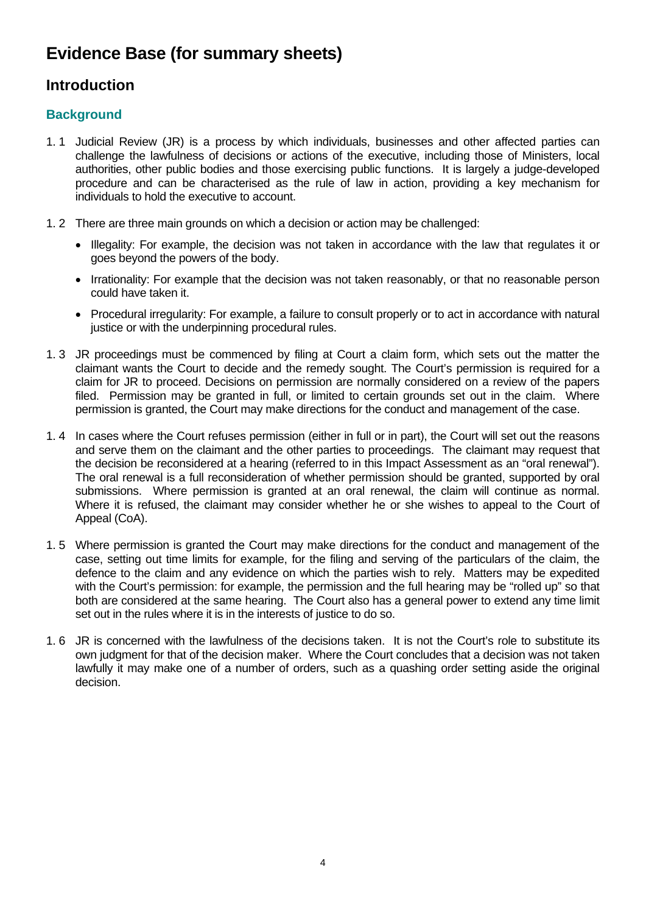# **Evidence Base (for summary sheets)**

## **Introduction**

## **Background**

- 1. 1 Judicial Review (JR) is a process by which individuals, businesses and other affected parties can challenge the lawfulness of decisions or actions of the executive, including those of Ministers, local authorities, other public bodies and those exercising public functions. It is largely a judge-developed procedure and can be characterised as the rule of law in action, providing a key mechanism for individuals to hold the executive to account.
- 1. 2 There are three main grounds on which a decision or action may be challenged:
	- Illegality: For example, the decision was not taken in accordance with the law that regulates it or goes beyond the powers of the body.
	- Irrationality: For example that the decision was not taken reasonably, or that no reasonable person could have taken it.
	- Procedural irregularity: For example, a failure to consult properly or to act in accordance with natural justice or with the underpinning procedural rules.
- 1. 3 JR proceedings must be commenced by filing at Court a claim form, which sets out the matter the claimant wants the Court to decide and the remedy sought. The Court's permission is required for a claim for JR to proceed. Decisions on permission are normally considered on a review of the papers filed. Permission may be granted in full, or limited to certain grounds set out in the claim. Where permission is granted, the Court may make directions for the conduct and management of the case.
- 1. 4 In cases where the Court refuses permission (either in full or in part), the Court will set out the reasons and serve them on the claimant and the other parties to proceedings. The claimant may request that the decision be reconsidered at a hearing (referred to in this Impact Assessment as an "oral renewal"). The oral renewal is a full reconsideration of whether permission should be granted, supported by oral submissions. Where permission is granted at an oral renewal, the claim will continue as normal. Where it is refused, the claimant may consider whether he or she wishes to appeal to the Court of Appeal (CoA).
- 1. 5 Where permission is granted the Court may make directions for the conduct and management of the case, setting out time limits for example, for the filing and serving of the particulars of the claim, the defence to the claim and any evidence on which the parties wish to rely. Matters may be expedited with the Court's permission: for example, the permission and the full hearing may be "rolled up" so that both are considered at the same hearing. The Court also has a general power to extend any time limit set out in the rules where it is in the interests of justice to do so.
- 1. 6 JR is concerned with the lawfulness of the decisions taken. It is not the Court's role to substitute its own judgment for that of the decision maker. Where the Court concludes that a decision was not taken lawfully it may make one of a number of orders, such as a quashing order setting aside the original decision.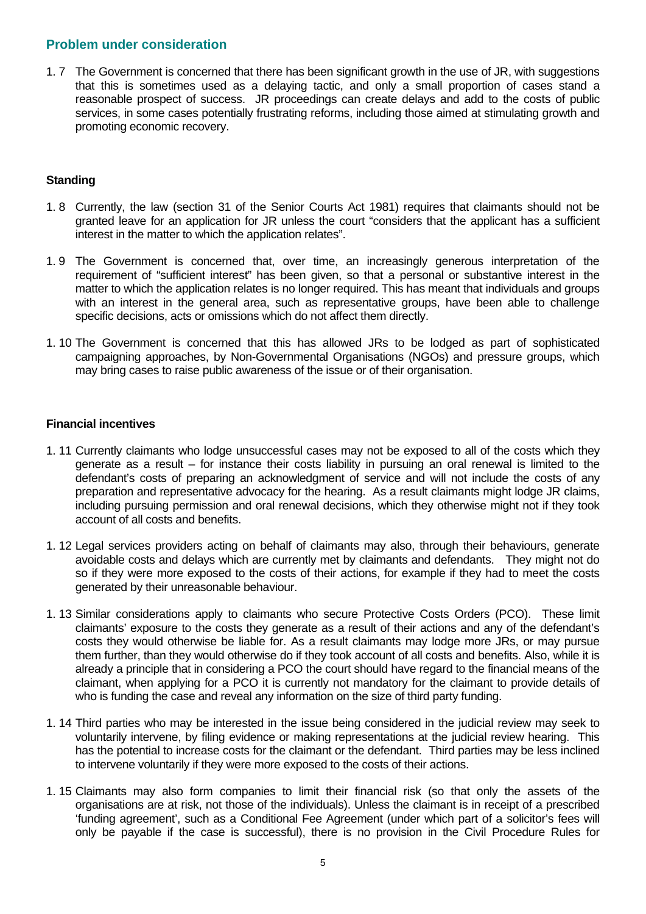#### **Problem under consideration**

1. 7 The Government is concerned that there has been significant growth in the use of JR, with suggestions that this is sometimes used as a delaying tactic, and only a small proportion of cases stand a reasonable prospect of success. JR proceedings can create delays and add to the costs of public services, in some cases potentially frustrating reforms, including those aimed at stimulating growth and promoting economic recovery.

#### **Standing**

- 1. 8 Currently, the law (section 31 of the Senior Courts Act 1981) requires that claimants should not be granted leave for an application for JR unless the court "considers that the applicant has a sufficient interest in the matter to which the application relates".
- 1. 9 The Government is concerned that, over time, an increasingly generous interpretation of the requirement of "sufficient interest" has been given, so that a personal or substantive interest in the matter to which the application relates is no longer required. This has meant that individuals and groups with an interest in the general area, such as representative groups, have been able to challenge specific decisions, acts or omissions which do not affect them directly.
- 1. 10 The Government is concerned that this has allowed JRs to be lodged as part of sophisticated campaigning approaches, by Non-Governmental Organisations (NGOs) and pressure groups, which may bring cases to raise public awareness of the issue or of their organisation.

#### **Financial incentives**

- 1. 11 Currently claimants who lodge unsuccessful cases may not be exposed to all of the costs which they generate as a result – for instance their costs liability in pursuing an oral renewal is limited to the defendant's costs of preparing an acknowledgment of service and will not include the costs of any preparation and representative advocacy for the hearing. As a result claimants might lodge JR claims, including pursuing permission and oral renewal decisions, which they otherwise might not if they took account of all costs and benefits.
- 1. 12 Legal services providers acting on behalf of claimants may also, through their behaviours, generate avoidable costs and delays which are currently met by claimants and defendants. They might not do so if they were more exposed to the costs of their actions, for example if they had to meet the costs generated by their unreasonable behaviour.
- 1. 13 Similar considerations apply to claimants who secure Protective Costs Orders (PCO). These limit claimants' exposure to the costs they generate as a result of their actions and any of the defendant's costs they would otherwise be liable for. As a result claimants may lodge more JRs, or may pursue them further, than they would otherwise do if they took account of all costs and benefits. Also, while it is already a principle that in considering a PCO the court should have regard to the financial means of the claimant, when applying for a PCO it is currently not mandatory for the claimant to provide details of who is funding the case and reveal any information on the size of third party funding.
- 1. 14 Third parties who may be interested in the issue being considered in the judicial review may seek to voluntarily intervene, by filing evidence or making representations at the judicial review hearing. This has the potential to increase costs for the claimant or the defendant. Third parties may be less inclined to intervene voluntarily if they were more exposed to the costs of their actions.
- 1. 15 Claimants may also form companies to limit their financial risk (so that only the assets of the organisations are at risk, not those of the individuals). Unless the claimant is in receipt of a prescribed 'funding agreement', such as a Conditional Fee Agreement (under which part of a solicitor's fees will only be payable if the case is successful), there is no provision in the Civil Procedure Rules for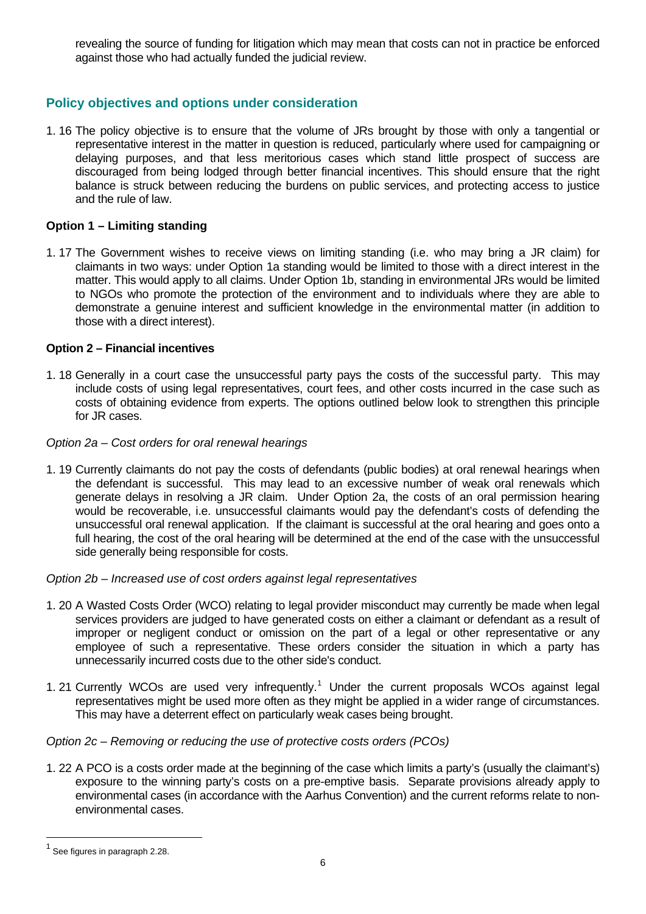revealing the source of funding for litigation which may mean that costs can not in practice be enforced against those who had actually funded the judicial review.

## **Policy objectives and options under consideration**

1. 16 The policy objective is to ensure that the volume of JRs brought by those with only a tangential or representative interest in the matter in question is reduced, particularly where used for campaigning or delaying purposes, and that less meritorious cases which stand little prospect of success are discouraged from being lodged through better financial incentives. This should ensure that the right balance is struck between reducing the burdens on public services, and protecting access to justice and the rule of law.

#### **Option 1 – Limiting standing**

1. 17 The Government wishes to receive views on limiting standing (i.e. who may bring a JR claim) for claimants in two ways: under Option 1a standing would be limited to those with a direct interest in the matter. This would apply to all claims. Under Option 1b, standing in environmental JRs would be limited to NGOs who promote the protection of the environment and to individuals where they are able to demonstrate a genuine interest and sufficient knowledge in the environmental matter (in addition to those with a direct interest).

#### **Option 2 – Financial incentives**

1. 18 Generally in a court case the unsuccessful party pays the costs of the successful party. This may include costs of using legal representatives, court fees, and other costs incurred in the case such as costs of obtaining evidence from experts. The options outlined below look to strengthen this principle for JR cases.

#### *Option 2a – Cost orders for oral renewal hearings*

1. 19 Currently claimants do not pay the costs of defendants (public bodies) at oral renewal hearings when the defendant is successful. This may lead to an excessive number of weak oral renewals which generate delays in resolving a JR claim. Under Option 2a, the costs of an oral permission hearing would be recoverable, i.e. unsuccessful claimants would pay the defendant's costs of defending the unsuccessful oral renewal application. If the claimant is successful at the oral hearing and goes onto a full hearing, the cost of the oral hearing will be determined at the end of the case with the unsuccessful side generally being responsible for costs.

*Option 2b – Increased use of cost orders against legal representatives* 

- 1. 20 A Wasted Costs Order (WCO) relating to legal provider misconduct may currently be made when legal services providers are judged to have generated costs on either a claimant or defendant as a result of improper or negligent conduct or omission on the part of a legal or other representative or any employee of such a representative. These orders consider the situation in which a party has unnecessarily incurred costs due to the other side's conduct.
- [1](#page-5-0). 21 Currently WCOs are used very infrequently.<sup>1</sup> Under the current proposals WCOs against legal representatives might be used more often as they might be applied in a wider range of circumstances. This may have a deterrent effect on particularly weak cases being brought.

#### *Option 2c – Removing or reducing the use of protective costs orders (PCOs)*

1. 22 A PCO is a costs order made at the beginning of the case which limits a party's (usually the claimant's) exposure to the winning party's costs on a pre-emptive basis. Separate provisions already apply to environmental cases (in accordance with the Aarhus Convention) and the current reforms relate to nonenvironmental cases.

l

<span id="page-5-0"></span><sup>&</sup>lt;sup>1</sup> See figures in paragraph 2.28.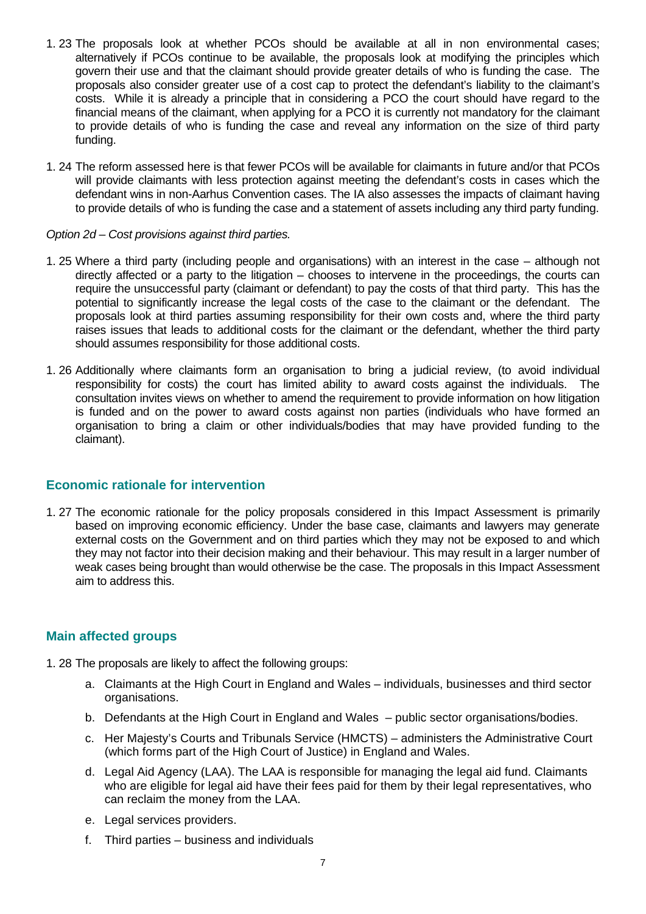- 1. 23 The proposals look at whether PCOs should be available at all in non environmental cases; alternatively if PCOs continue to be available, the proposals look at modifying the principles which govern their use and that the claimant should provide greater details of who is funding the case. The proposals also consider greater use of a cost cap to protect the defendant's liability to the claimant's costs. While it is already a principle that in considering a PCO the court should have regard to the financial means of the claimant, when applying for a PCO it is currently not mandatory for the claimant to provide details of who is funding the case and reveal any information on the size of third party funding.
- 1. 24 The reform assessed here is that fewer PCOs will be available for claimants in future and/or that PCOs will provide claimants with less protection against meeting the defendant's costs in cases which the defendant wins in non-Aarhus Convention cases. The IA also assesses the impacts of claimant having to provide details of who is funding the case and a statement of assets including any third party funding.

#### *Option 2d – Cost provisions against third parties.*

- 1. 25 Where a third party (including people and organisations) with an interest in the case although not directly affected or a party to the litigation – chooses to intervene in the proceedings, the courts can require the unsuccessful party (claimant or defendant) to pay the costs of that third party. This has the potential to significantly increase the legal costs of the case to the claimant or the defendant. The proposals look at third parties assuming responsibility for their own costs and, where the third party raises issues that leads to additional costs for the claimant or the defendant, whether the third party should assumes responsibility for those additional costs.
- 1. 26 Additionally where claimants form an organisation to bring a judicial review, (to avoid individual responsibility for costs) the court has limited ability to award costs against the individuals. The consultation invites views on whether to amend the requirement to provide information on how litigation is funded and on the power to award costs against non parties (individuals who have formed an organisation to bring a claim or other individuals/bodies that may have provided funding to the claimant).

#### **Economic rationale for intervention**

1. 27 The economic rationale for the policy proposals considered in this Impact Assessment is primarily based on improving economic efficiency. Under the base case, claimants and lawyers may generate external costs on the Government and on third parties which they may not be exposed to and which they may not factor into their decision making and their behaviour. This may result in a larger number of weak cases being brought than would otherwise be the case. The proposals in this Impact Assessment aim to address this.

#### **Main affected groups**

- 1. 28 The proposals are likely to affect the following groups:
	- a. Claimants at the High Court in England and Wales individuals, businesses and third sector organisations.
	- b. Defendants at the High Court in England and Wales public sector organisations/bodies.
	- c. Her Majesty's Courts and Tribunals Service (HMCTS) administers the Administrative Court (which forms part of the High Court of Justice) in England and Wales.
	- d. Legal Aid Agency (LAA). The LAA is responsible for managing the legal aid fund. Claimants who are eligible for legal aid have their fees paid for them by their legal representatives, who can reclaim the money from the LAA.
	- e. Legal services providers.
	- f. Third parties business and individuals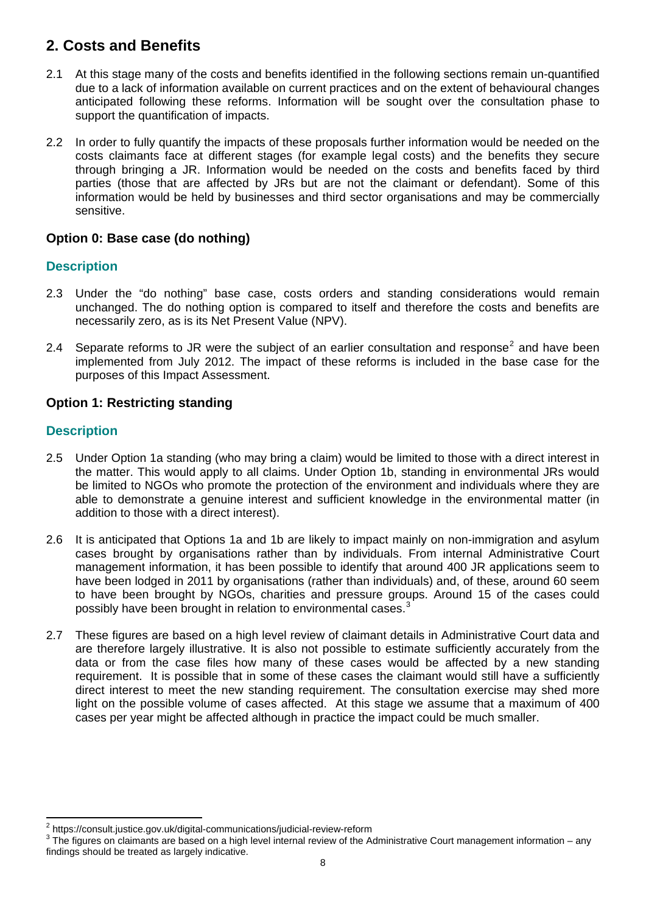## **2. Costs and Benefits**

- 2.1 At this stage many of the costs and benefits identified in the following sections remain un-quantified due to a lack of information available on current practices and on the extent of behavioural changes anticipated following these reforms. Information will be sought over the consultation phase to support the quantification of impacts.
- 2.2 In order to fully quantify the impacts of these proposals further information would be needed on the costs claimants face at different stages (for example legal costs) and the benefits they secure through bringing a JR. Information would be needed on the costs and benefits faced by third parties (those that are affected by JRs but are not the claimant or defendant). Some of this information would be held by businesses and third sector organisations and may be commercially sensitive.

## **Option 0: Base case (do nothing)**

## **Description**

- 2.3 Under the "do nothing" base case, costs orders and standing considerations would remain unchanged. The do nothing option is compared to itself and therefore the costs and benefits are necessarily zero, as is its Net Present Value (NPV).
- [2](#page-7-0).4 Separate reforms to JR were the subject of an earlier consultation and response<sup>2</sup> and have been implemented from July 2012. The impact of these reforms is included in the base case for the purposes of this Impact Assessment.

## **Option 1: Restricting standing**

## **Description**

- 2.5 Under Option 1a standing (who may bring a claim) would be limited to those with a direct interest in the matter. This would apply to all claims. Under Option 1b, standing in environmental JRs would be limited to NGOs who promote the protection of the environment and individuals where they are able to demonstrate a genuine interest and sufficient knowledge in the environmental matter (in addition to those with a direct interest).
- 2.6 It is anticipated that Options 1a and 1b are likely to impact mainly on non-immigration and asylum cases brought by organisations rather than by individuals. From internal Administrative Court management information, it has been possible to identify that around 400 JR applications seem to have been lodged in 2011 by organisations (rather than individuals) and, of these, around 60 seem to have been brought by NGOs, charities and pressure groups. Around 15 of the cases could possibly have been brought in relation to environmental cases.<sup>[3](#page-7-1)</sup>
- 2.7 These figures are based on a high level review of claimant details in Administrative Court data and are therefore largely illustrative. It is also not possible to estimate sufficiently accurately from the data or from the case files how many of these cases would be affected by a new standing requirement. It is possible that in some of these cases the claimant would still have a sufficiently direct interest to meet the new standing requirement. The consultation exercise may shed more light on the possible volume of cases affected. At this stage we assume that a maximum of 400 cases per year might be affected although in practice the impact could be much smaller.

 $\frac{1}{2}$ <sup>2</sup> https://consult.justice.gov.uk/digital-communications/judicial-review-reform

<span id="page-7-1"></span><span id="page-7-0"></span>The figures on claimants are based on a high level internal review of the Administrative Court management information – any findings should be treated as largely indicative.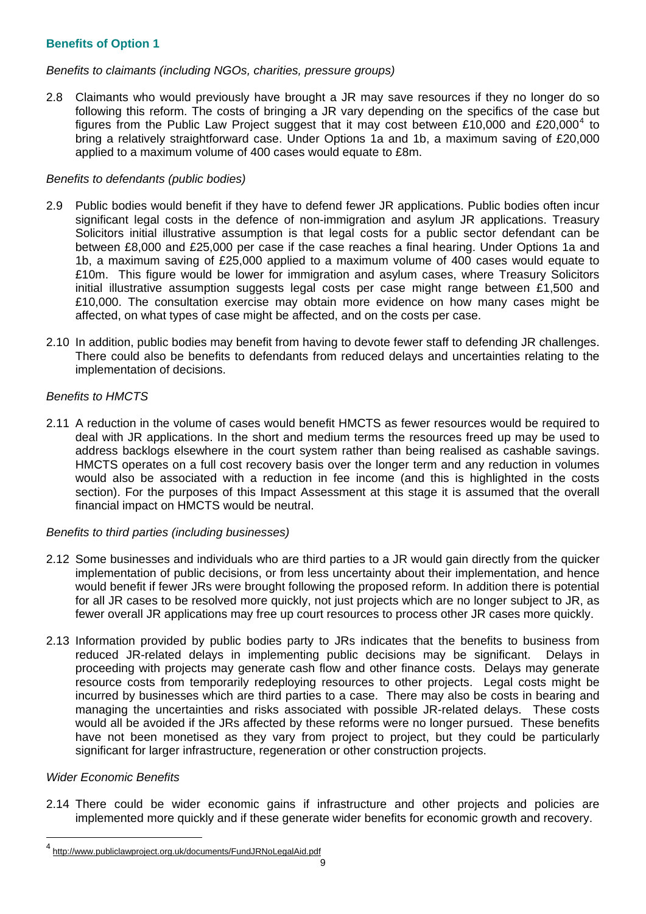#### **Benefits of Option 1**

#### *Benefits to claimants (including NGOs, charities, pressure groups)*

2.8 Claimants who would previously have brought a JR may save resources if they no longer do so following this reform. The costs of bringing a JR vary depending on the specifics of the case but figures from the Public Law Project suggest that it may cost between £10,000 and £20,000<sup>[4](#page-8-0)</sup> to bring a relatively straightforward case. Under Options 1a and 1b, a maximum saving of £20,000 applied to a maximum volume of 400 cases would equate to £8m.

#### *Benefits to defendants (public bodies)*

- 2.9 Public bodies would benefit if they have to defend fewer JR applications. Public bodies often incur significant legal costs in the defence of non-immigration and asylum JR applications. Treasury Solicitors initial illustrative assumption is that legal costs for a public sector defendant can be between £8,000 and £25,000 per case if the case reaches a final hearing. Under Options 1a and 1b, a maximum saving of £25,000 applied to a maximum volume of 400 cases would equate to £10m. This figure would be lower for immigration and asylum cases, where Treasury Solicitors initial illustrative assumption suggests legal costs per case might range between £1,500 and £10,000. The consultation exercise may obtain more evidence on how many cases might be affected, on what types of case might be affected, and on the costs per case.
- 2.10 In addition, public bodies may benefit from having to devote fewer staff to defending JR challenges. There could also be benefits to defendants from reduced delays and uncertainties relating to the implementation of decisions.

#### *Benefits to HMCTS*

2.11 A reduction in the volume of cases would benefit HMCTS as fewer resources would be required to deal with JR applications. In the short and medium terms the resources freed up may be used to address backlogs elsewhere in the court system rather than being realised as cashable savings. HMCTS operates on a full cost recovery basis over the longer term and any reduction in volumes would also be associated with a reduction in fee income (and this is highlighted in the costs section). For the purposes of this Impact Assessment at this stage it is assumed that the overall financial impact on HMCTS would be neutral.

#### *Benefits to third parties (including businesses)*

- 2.12 Some businesses and individuals who are third parties to a JR would gain directly from the quicker implementation of public decisions, or from less uncertainty about their implementation, and hence would benefit if fewer JRs were brought following the proposed reform. In addition there is potential for all JR cases to be resolved more quickly, not just projects which are no longer subject to JR, as fewer overall JR applications may free up court resources to process other JR cases more quickly.
- 2.13 Information provided by public bodies party to JRs indicates that the benefits to business from reduced JR-related delays in implementing public decisions may be significant. Delays in proceeding with projects may generate cash flow and other finance costs. Delays may generate resource costs from temporarily redeploying resources to other projects. Legal costs might be incurred by businesses which are third parties to a case. There may also be costs in bearing and managing the uncertainties and risks associated with possible JR-related delays. These costs would all be avoided if the JRs affected by these reforms were no longer pursued. These benefits have not been monetised as they vary from project to project, but they could be particularly significant for larger infrastructure, regeneration or other construction projects.

#### *Wider Economic Benefits*

l

2.14 There could be wider economic gains if infrastructure and other projects and policies are implemented more quickly and if these generate wider benefits for economic growth and recovery.

<span id="page-8-0"></span><sup>4</sup> <http://www.publiclawproject.org.uk/documents/FundJRNoLegalAid.pdf>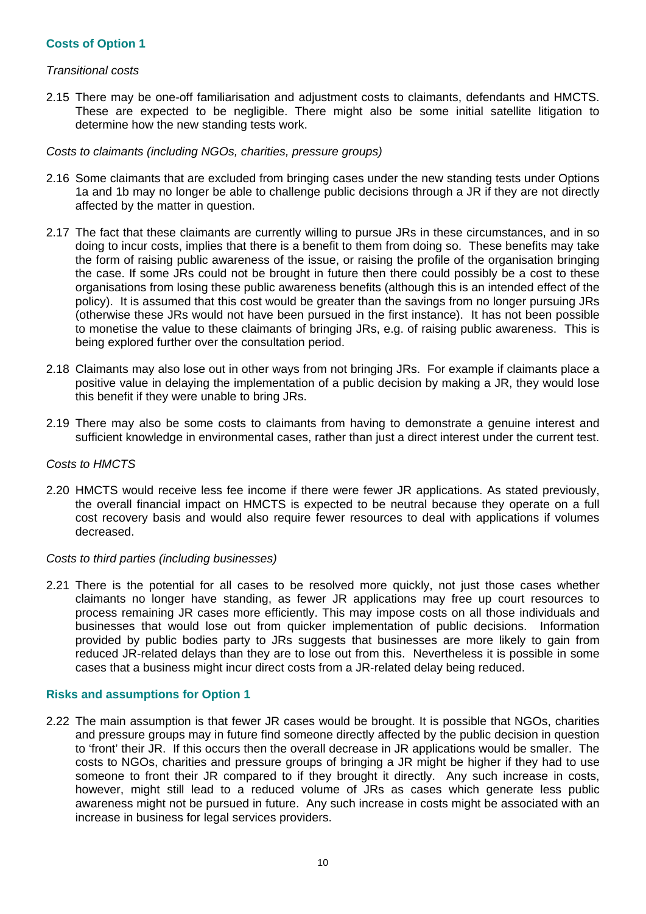#### **Costs of Option 1**

#### *Transitional costs*

2.15 There may be one-off familiarisation and adjustment costs to claimants, defendants and HMCTS. These are expected to be negligible. There might also be some initial satellite litigation to determine how the new standing tests work.

#### *Costs to claimants (including NGOs, charities, pressure groups)*

- 2.16 Some claimants that are excluded from bringing cases under the new standing tests under Options 1a and 1b may no longer be able to challenge public decisions through a JR if they are not directly affected by the matter in question.
- 2.17 The fact that these claimants are currently willing to pursue JRs in these circumstances, and in so doing to incur costs, implies that there is a benefit to them from doing so. These benefits may take the form of raising public awareness of the issue, or raising the profile of the organisation bringing the case. If some JRs could not be brought in future then there could possibly be a cost to these organisations from losing these public awareness benefits (although this is an intended effect of the policy). It is assumed that this cost would be greater than the savings from no longer pursuing JRs (otherwise these JRs would not have been pursued in the first instance). It has not been possible to monetise the value to these claimants of bringing JRs, e.g. of raising public awareness. This is being explored further over the consultation period.
- 2.18 Claimants may also lose out in other ways from not bringing JRs. For example if claimants place a positive value in delaying the implementation of a public decision by making a JR, they would lose this benefit if they were unable to bring JRs.
- 2.19 There may also be some costs to claimants from having to demonstrate a genuine interest and sufficient knowledge in environmental cases, rather than just a direct interest under the current test.

#### *Costs to HMCTS*

2.20 HMCTS would receive less fee income if there were fewer JR applications. As stated previously, the overall financial impact on HMCTS is expected to be neutral because they operate on a full cost recovery basis and would also require fewer resources to deal with applications if volumes decreased.

#### *Costs to third parties (including businesses)*

2.21 There is the potential for all cases to be resolved more quickly, not just those cases whether claimants no longer have standing, as fewer JR applications may free up court resources to process remaining JR cases more efficiently. This may impose costs on all those individuals and businesses that would lose out from quicker implementation of public decisions. Information provided by public bodies party to JRs suggests that businesses are more likely to gain from reduced JR-related delays than they are to lose out from this. Nevertheless it is possible in some cases that a business might incur direct costs from a JR-related delay being reduced.

#### **Risks and assumptions for Option 1**

2.22 The main assumption is that fewer JR cases would be brought. It is possible that NGOs, charities and pressure groups may in future find someone directly affected by the public decision in question to 'front' their JR. If this occurs then the overall decrease in JR applications would be smaller. The costs to NGOs, charities and pressure groups of bringing a JR might be higher if they had to use someone to front their JR compared to if they brought it directly. Any such increase in costs, however, might still lead to a reduced volume of JRs as cases which generate less public awareness might not be pursued in future. Any such increase in costs might be associated with an increase in business for legal services providers.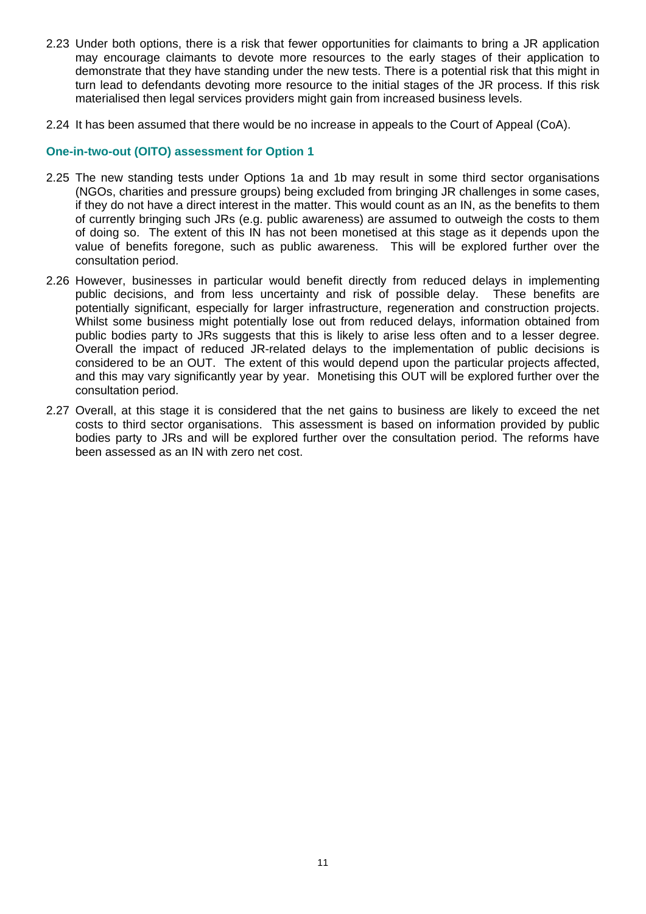- 2.23 Under both options, there is a risk that fewer opportunities for claimants to bring a JR application may encourage claimants to devote more resources to the early stages of their application to demonstrate that they have standing under the new tests. There is a potential risk that this might in turn lead to defendants devoting more resource to the initial stages of the JR process. If this risk materialised then legal services providers might gain from increased business levels.
- 2.24 It has been assumed that there would be no increase in appeals to the Court of Appeal (CoA).

#### **One-in-two-out (OITO) assessment for Option 1**

- 2.25 The new standing tests under Options 1a and 1b may result in some third sector organisations (NGOs, charities and pressure groups) being excluded from bringing JR challenges in some cases, if they do not have a direct interest in the matter. This would count as an IN, as the benefits to them of currently bringing such JRs (e.g. public awareness) are assumed to outweigh the costs to them of doing so. The extent of this IN has not been monetised at this stage as it depends upon the value of benefits foregone, such as public awareness. This will be explored further over the consultation period.
- 2.26 However, businesses in particular would benefit directly from reduced delays in implementing public decisions, and from less uncertainty and risk of possible delay. These benefits are potentially significant, especially for larger infrastructure, regeneration and construction projects. Whilst some business might potentially lose out from reduced delays, information obtained from public bodies party to JRs suggests that this is likely to arise less often and to a lesser degree. Overall the impact of reduced JR-related delays to the implementation of public decisions is considered to be an OUT. The extent of this would depend upon the particular projects affected, and this may vary significantly year by year. Monetising this OUT will be explored further over the consultation period.
- 2.27 Overall, at this stage it is considered that the net gains to business are likely to exceed the net costs to third sector organisations. This assessment is based on information provided by public bodies party to JRs and will be explored further over the consultation period. The reforms have been assessed as an IN with zero net cost.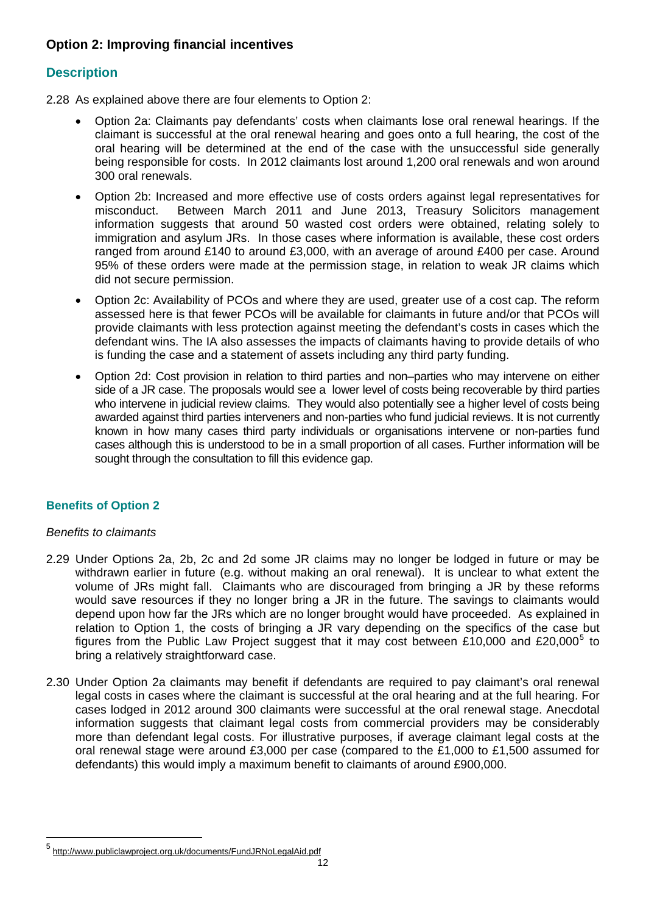## **Option 2: Improving financial incentives**

## **Description**

2.28 As explained above there are four elements to Option 2:

- Option 2a: Claimants pay defendants' costs when claimants lose oral renewal hearings. If the claimant is successful at the oral renewal hearing and goes onto a full hearing, the cost of the oral hearing will be determined at the end of the case with the unsuccessful side generally being responsible for costs. In 2012 claimants lost around 1,200 oral renewals and won around 300 oral renewals.
- Option 2b: Increased and more effective use of costs orders against legal representatives for misconduct. Between March 2011 and June 2013, Treasury Solicitors management information suggests that around 50 wasted cost orders were obtained, relating solely to immigration and asylum JRs. In those cases where information is available, these cost orders ranged from around £140 to around £3,000, with an average of around £400 per case. Around 95% of these orders were made at the permission stage, in relation to weak JR claims which did not secure permission.
- Option 2c: Availability of PCOs and where they are used, greater use of a cost cap. The reform assessed here is that fewer PCOs will be available for claimants in future and/or that PCOs will provide claimants with less protection against meeting the defendant's costs in cases which the defendant wins. The IA also assesses the impacts of claimants having to provide details of who is funding the case and a statement of assets including any third party funding.
- Option 2d: Cost provision in relation to third parties and non–parties who may intervene on either side of a JR case. The proposals would see a lower level of costs being recoverable by third parties who intervene in judicial review claims. They would also potentially see a higher level of costs being awarded against third parties interveners and non-parties who fund judicial reviews. It is not currently known in how many cases third party individuals or organisations intervene or non-parties fund cases although this is understood to be in a small proportion of all cases. Further information will be sought through the consultation to fill this evidence gap.

### **Benefits of Option 2**

#### *Benefits to claimants*

l

- 2.29 Under Options 2a, 2b, 2c and 2d some JR claims may no longer be lodged in future or may be withdrawn earlier in future (e.g. without making an oral renewal). It is unclear to what extent the volume of JRs might fall. Claimants who are discouraged from bringing a JR by these reforms would save resources if they no longer bring a JR in the future. The savings to claimants would depend upon how far the JRs which are no longer brought would have proceeded. As explained in relation to Option 1, the costs of bringing a JR vary depending on the specifics of the case but figures from the Public Law Project suggest that it may cost between £10,000 and £20,000 $^5$  $^5$  to bring a relatively straightforward case.
- 2.30 Under Option 2a claimants may benefit if defendants are required to pay claimant's oral renewal legal costs in cases where the claimant is successful at the oral hearing and at the full hearing. For cases lodged in 2012 around 300 claimants were successful at the oral renewal stage. Anecdotal information suggests that claimant legal costs from commercial providers may be considerably more than defendant legal costs. For illustrative purposes, if average claimant legal costs at the oral renewal stage were around £3,000 per case (compared to the £1,000 to £1,500 assumed for defendants) this would imply a maximum benefit to claimants of around £900,000.

<span id="page-11-0"></span><sup>5</sup> <http://www.publiclawproject.org.uk/documents/FundJRNoLegalAid.pdf>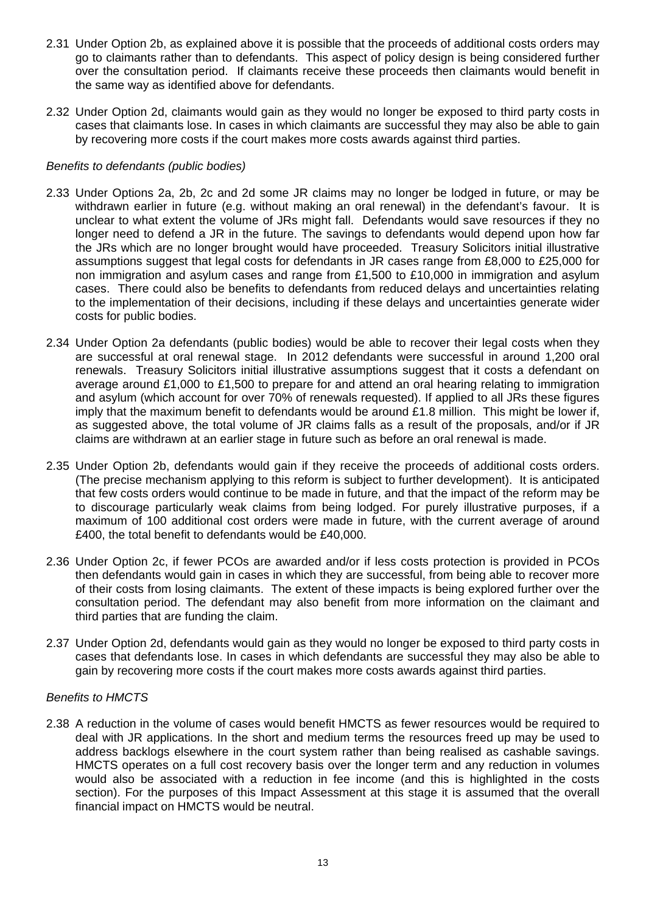- 2.31 Under Option 2b, as explained above it is possible that the proceeds of additional costs orders may go to claimants rather than to defendants. This aspect of policy design is being considered further over the consultation period. If claimants receive these proceeds then claimants would benefit in the same way as identified above for defendants.
- 2.32 Under Option 2d, claimants would gain as they would no longer be exposed to third party costs in cases that claimants lose. In cases in which claimants are successful they may also be able to gain by recovering more costs if the court makes more costs awards against third parties.

#### *Benefits to defendants (public bodies)*

- 2.33 Under Options 2a, 2b, 2c and 2d some JR claims may no longer be lodged in future, or may be withdrawn earlier in future (e.g. without making an oral renewal) in the defendant's favour. It is unclear to what extent the volume of JRs might fall. Defendants would save resources if they no longer need to defend a JR in the future. The savings to defendants would depend upon how far the JRs which are no longer brought would have proceeded. Treasury Solicitors initial illustrative assumptions suggest that legal costs for defendants in JR cases range from £8,000 to £25,000 for non immigration and asylum cases and range from £1,500 to £10,000 in immigration and asylum cases. There could also be benefits to defendants from reduced delays and uncertainties relating to the implementation of their decisions, including if these delays and uncertainties generate wider costs for public bodies.
- 2.34 Under Option 2a defendants (public bodies) would be able to recover their legal costs when they are successful at oral renewal stage. In 2012 defendants were successful in around 1,200 oral renewals. Treasury Solicitors initial illustrative assumptions suggest that it costs a defendant on average around £1,000 to £1,500 to prepare for and attend an oral hearing relating to immigration and asylum (which account for over 70% of renewals requested). If applied to all JRs these figures imply that the maximum benefit to defendants would be around  $£1.8$  million. This might be lower if, as suggested above, the total volume of JR claims falls as a result of the proposals, and/or if JR claims are withdrawn at an earlier stage in future such as before an oral renewal is made.
- 2.35 Under Option 2b, defendants would gain if they receive the proceeds of additional costs orders. (The precise mechanism applying to this reform is subject to further development). It is anticipated that few costs orders would continue to be made in future, and that the impact of the reform may be to discourage particularly weak claims from being lodged. For purely illustrative purposes, if a maximum of 100 additional cost orders were made in future, with the current average of around £400, the total benefit to defendants would be £40,000.
- 2.36 Under Option 2c, if fewer PCOs are awarded and/or if less costs protection is provided in PCOs then defendants would gain in cases in which they are successful, from being able to recover more of their costs from losing claimants. The extent of these impacts is being explored further over the consultation period. The defendant may also benefit from more information on the claimant and third parties that are funding the claim.
- 2.37 Under Option 2d, defendants would gain as they would no longer be exposed to third party costs in cases that defendants lose. In cases in which defendants are successful they may also be able to gain by recovering more costs if the court makes more costs awards against third parties.

#### *Benefits to HMCTS*

2.38 A reduction in the volume of cases would benefit HMCTS as fewer resources would be required to deal with JR applications. In the short and medium terms the resources freed up may be used to address backlogs elsewhere in the court system rather than being realised as cashable savings. HMCTS operates on a full cost recovery basis over the longer term and any reduction in volumes would also be associated with a reduction in fee income (and this is highlighted in the costs section). For the purposes of this Impact Assessment at this stage it is assumed that the overall financial impact on HMCTS would be neutral.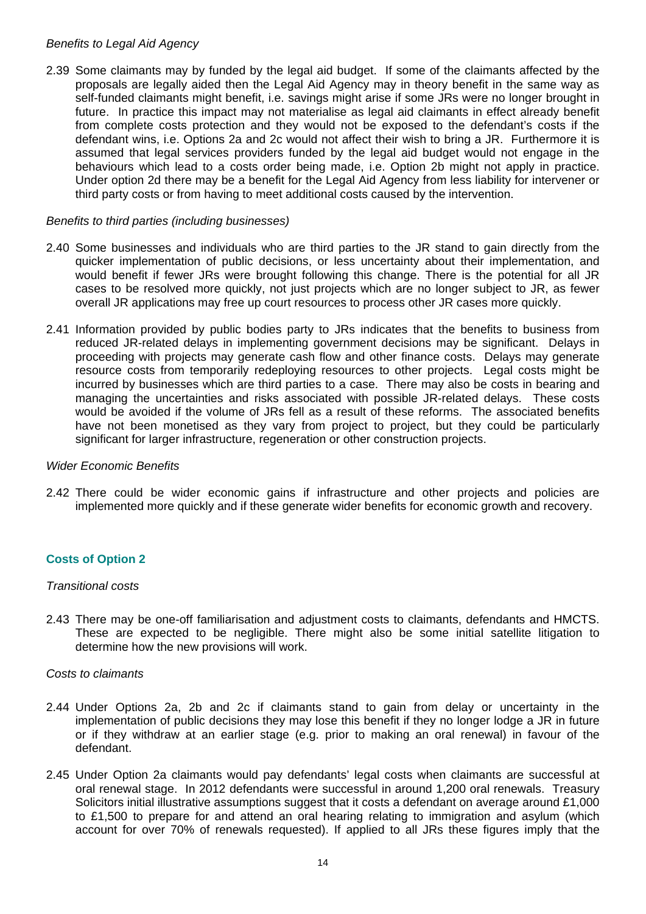#### *Benefits to Legal Aid Agency*

2.39 Some claimants may by funded by the legal aid budget. If some of the claimants affected by the proposals are legally aided then the Legal Aid Agency may in theory benefit in the same way as self-funded claimants might benefit, i.e. savings might arise if some JRs were no longer brought in future. In practice this impact may not materialise as legal aid claimants in effect already benefit from complete costs protection and they would not be exposed to the defendant's costs if the defendant wins, i.e. Options 2a and 2c would not affect their wish to bring a JR. Furthermore it is assumed that legal services providers funded by the legal aid budget would not engage in the behaviours which lead to a costs order being made, i.e. Option 2b might not apply in practice. Under option 2d there may be a benefit for the Legal Aid Agency from less liability for intervener or third party costs or from having to meet additional costs caused by the intervention.

#### *Benefits to third parties (including businesses)*

- 2.40 Some businesses and individuals who are third parties to the JR stand to gain directly from the quicker implementation of public decisions, or less uncertainty about their implementation, and would benefit if fewer JRs were brought following this change. There is the potential for all JR cases to be resolved more quickly, not just projects which are no longer subject to JR, as fewer overall JR applications may free up court resources to process other JR cases more quickly.
- 2.41 Information provided by public bodies party to JRs indicates that the benefits to business from reduced JR-related delays in implementing government decisions may be significant. Delays in proceeding with projects may generate cash flow and other finance costs. Delays may generate resource costs from temporarily redeploying resources to other projects. Legal costs might be incurred by businesses which are third parties to a case. There may also be costs in bearing and managing the uncertainties and risks associated with possible JR-related delays. These costs would be avoided if the volume of JRs fell as a result of these reforms. The associated benefits have not been monetised as they vary from project to project, but they could be particularly significant for larger infrastructure, regeneration or other construction projects.

#### *Wider Economic Benefits*

2.42 There could be wider economic gains if infrastructure and other projects and policies are implemented more quickly and if these generate wider benefits for economic growth and recovery.

#### **Costs of Option 2**

#### *Transitional costs*

2.43 There may be one-off familiarisation and adjustment costs to claimants, defendants and HMCTS. These are expected to be negligible. There might also be some initial satellite litigation to determine how the new provisions will work.

#### *Costs to claimants*

- 2.44 Under Options 2a, 2b and 2c if claimants stand to gain from delay or uncertainty in the implementation of public decisions they may lose this benefit if they no longer lodge a JR in future or if they withdraw at an earlier stage (e.g. prior to making an oral renewal) in favour of the defendant.
- 2.45 Under Option 2a claimants would pay defendants' legal costs when claimants are successful at oral renewal stage. In 2012 defendants were successful in around 1,200 oral renewals. Treasury Solicitors initial illustrative assumptions suggest that it costs a defendant on average around £1,000 to £1,500 to prepare for and attend an oral hearing relating to immigration and asylum (which account for over 70% of renewals requested). If applied to all JRs these figures imply that the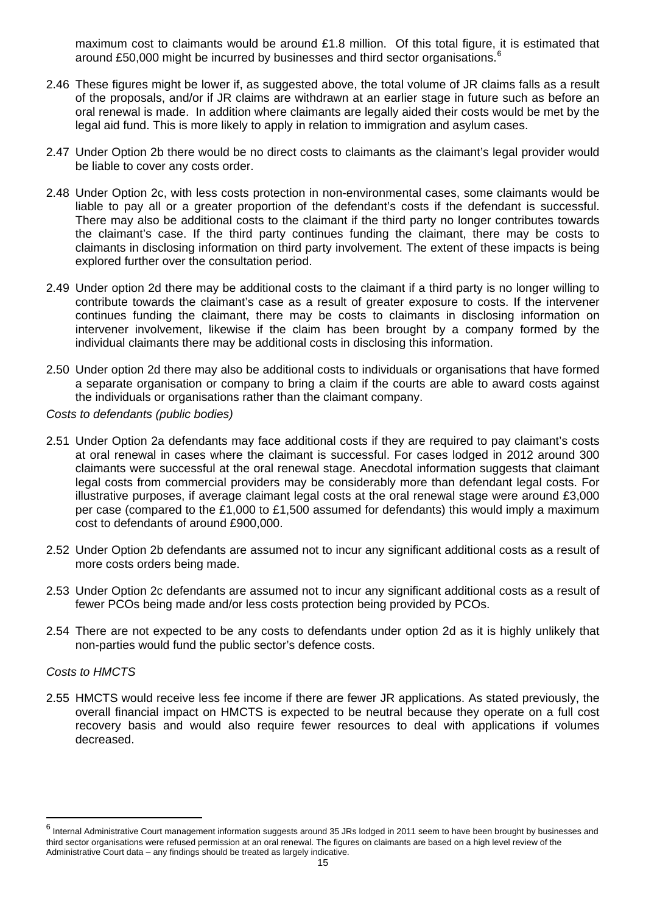maximum cost to claimants would be around £1.8 million. Of this total figure, it is estimated that around £50,000 might be incurred by businesses and third sector organisations.<sup>6</sup>

- 2.46 These figures might be lower if, as suggested above, the total volume of JR claims falls as a result of the proposals, and/or if JR claims are withdrawn at an earlier stage in future such as before an oral renewal is made. In addition where claimants are legally aided their costs would be met by the legal aid fund. This is more likely to apply in relation to immigration and asylum cases.
- 2.47 Under Option 2b there would be no direct costs to claimants as the claimant's legal provider would be liable to cover any costs order.
- 2.48 Under Option 2c, with less costs protection in non-environmental cases, some claimants would be liable to pay all or a greater proportion of the defendant's costs if the defendant is successful. There may also be additional costs to the claimant if the third party no longer contributes towards the claimant's case. If the third party continues funding the claimant, there may be costs to claimants in disclosing information on third party involvement. The extent of these impacts is being explored further over the consultation period.
- 2.49 Under option 2d there may be additional costs to the claimant if a third party is no longer willing to contribute towards the claimant's case as a result of greater exposure to costs. If the intervener continues funding the claimant, there may be costs to claimants in disclosing information on intervener involvement, likewise if the claim has been brought by a company formed by the individual claimants there may be additional costs in disclosing this information.
- 2.50 Under option 2d there may also be additional costs to individuals or organisations that have formed a separate organisation or company to bring a claim if the courts are able to award costs against the individuals or organisations rather than the claimant company.

*Costs to defendants (public bodies)* 

- 2.51 Under Option 2a defendants may face additional costs if they are required to pay claimant's costs at oral renewal in cases where the claimant is successful. For cases lodged in 2012 around 300 claimants were successful at the oral renewal stage. Anecdotal information suggests that claimant legal costs from commercial providers may be considerably more than defendant legal costs. For illustrative purposes, if average claimant legal costs at the oral renewal stage were around £3,000 per case (compared to the £1,000 to £1,500 assumed for defendants) this would imply a maximum cost to defendants of around £900,000.
- 2.52 Under Option 2b defendants are assumed not to incur any significant additional costs as a result of more costs orders being made.
- 2.53 Under Option 2c defendants are assumed not to incur any significant additional costs as a result of fewer PCOs being made and/or less costs protection being provided by PCOs.
- 2.54 There are not expected to be any costs to defendants under option 2d as it is highly unlikely that non-parties would fund the public sector's defence costs.

#### *Costs to HMCTS*

l

2.55 HMCTS would receive less fee income if there are fewer JR applications. As stated previously, the overall financial impact on HMCTS is expected to be neutral because they operate on a full cost recovery basis and would also require fewer resources to deal with applications if volumes decreased.

<sup>&</sup>lt;sup>6</sup> Internal Administrative Court management information suggests around 35 JRs lodged in 2011 seem to have been brought by businesses and third sector organisations were refused permission at an oral renewal. The figures on claimants are based on a high level review of the Administrative Court data – any findings should be treated as largely indicative.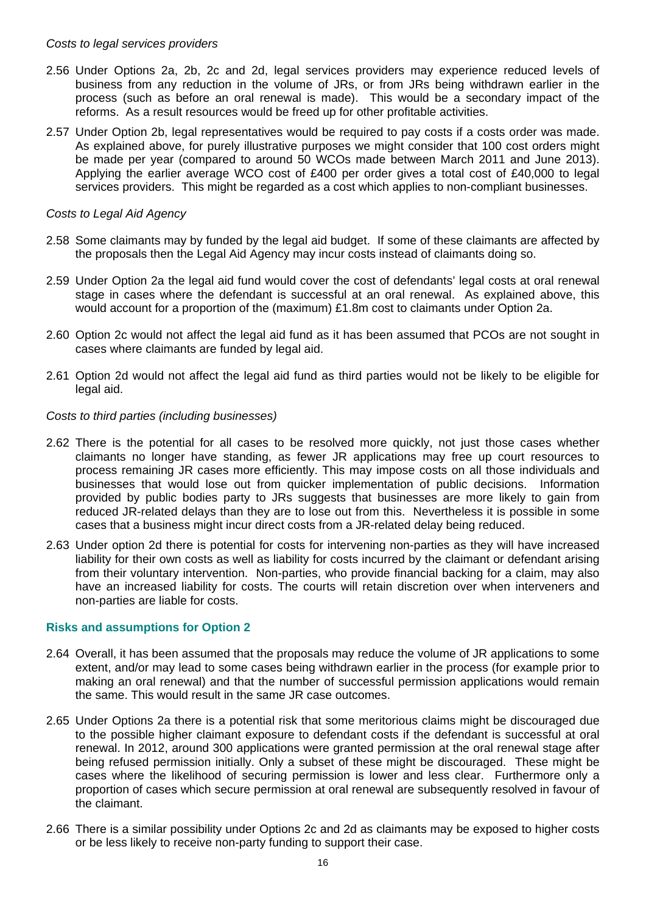#### *Costs to legal services providers*

- 2.56 Under Options 2a, 2b, 2c and 2d, legal services providers may experience reduced levels of business from any reduction in the volume of JRs, or from JRs being withdrawn earlier in the process (such as before an oral renewal is made). This would be a secondary impact of the reforms. As a result resources would be freed up for other profitable activities.
- 2.57 Under Option 2b, legal representatives would be required to pay costs if a costs order was made. As explained above, for purely illustrative purposes we might consider that 100 cost orders might be made per year (compared to around 50 WCOs made between March 2011 and June 2013). Applying the earlier average WCO cost of £400 per order gives a total cost of £40,000 to legal services providers. This might be regarded as a cost which applies to non-compliant businesses.

#### *Costs to Legal Aid Agency*

- 2.58 Some claimants may by funded by the legal aid budget. If some of these claimants are affected by the proposals then the Legal Aid Agency may incur costs instead of claimants doing so.
- 2.59 Under Option 2a the legal aid fund would cover the cost of defendants' legal costs at oral renewal stage in cases where the defendant is successful at an oral renewal. As explained above, this would account for a proportion of the (maximum) £1.8m cost to claimants under Option 2a.
- 2.60 Option 2c would not affect the legal aid fund as it has been assumed that PCOs are not sought in cases where claimants are funded by legal aid.
- 2.61 Option 2d would not affect the legal aid fund as third parties would not be likely to be eligible for legal aid.

#### *Costs to third parties (including businesses)*

- 2.62 There is the potential for all cases to be resolved more quickly, not just those cases whether claimants no longer have standing, as fewer JR applications may free up court resources to process remaining JR cases more efficiently. This may impose costs on all those individuals and businesses that would lose out from quicker implementation of public decisions. Information provided by public bodies party to JRs suggests that businesses are more likely to gain from reduced JR-related delays than they are to lose out from this. Nevertheless it is possible in some cases that a business might incur direct costs from a JR-related delay being reduced.
- 2.63 Under option 2d there is potential for costs for intervening non-parties as they will have increased liability for their own costs as well as liability for costs incurred by the claimant or defendant arising from their voluntary intervention. Non-parties, who provide financial backing for a claim, may also have an increased liability for costs. The courts will retain discretion over when interveners and non-parties are liable for costs.

#### **Risks and assumptions for Option 2**

- 2.64 Overall, it has been assumed that the proposals may reduce the volume of JR applications to some extent, and/or may lead to some cases being withdrawn earlier in the process (for example prior to making an oral renewal) and that the number of successful permission applications would remain the same. This would result in the same JR case outcomes.
- 2.65 Under Options 2a there is a potential risk that some meritorious claims might be discouraged due to the possible higher claimant exposure to defendant costs if the defendant is successful at oral renewal. In 2012, around 300 applications were granted permission at the oral renewal stage after being refused permission initially. Only a subset of these might be discouraged. These might be cases where the likelihood of securing permission is lower and less clear. Furthermore only a proportion of cases which secure permission at oral renewal are subsequently resolved in favour of the claimant.
- 2.66 There is a similar possibility under Options 2c and 2d as claimants may be exposed to higher costs or be less likely to receive non-party funding to support their case.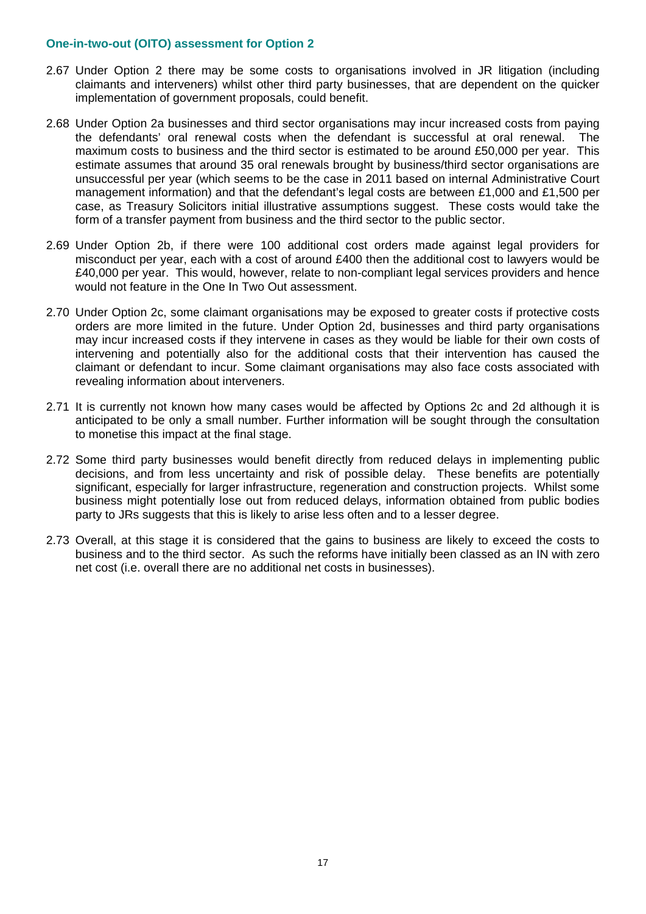#### **One-in-two-out (OITO) assessment for Option 2**

- 2.67 Under Option 2 there may be some costs to organisations involved in JR litigation (including claimants and interveners) whilst other third party businesses, that are dependent on the quicker implementation of government proposals, could benefit.
- 2.68 Under Option 2a businesses and third sector organisations may incur increased costs from paying the defendants' oral renewal costs when the defendant is successful at oral renewal. The maximum costs to business and the third sector is estimated to be around £50,000 per year. This estimate assumes that around 35 oral renewals brought by business/third sector organisations are unsuccessful per year (which seems to be the case in 2011 based on internal Administrative Court management information) and that the defendant's legal costs are between £1,000 and £1,500 per case, as Treasury Solicitors initial illustrative assumptions suggest. These costs would take the form of a transfer payment from business and the third sector to the public sector.
- 2.69 Under Option 2b, if there were 100 additional cost orders made against legal providers for misconduct per year, each with a cost of around £400 then the additional cost to lawyers would be £40,000 per year. This would, however, relate to non-compliant legal services providers and hence would not feature in the One In Two Out assessment.
- 2.70 Under Option 2c, some claimant organisations may be exposed to greater costs if protective costs orders are more limited in the future. Under Option 2d, businesses and third party organisations may incur increased costs if they intervene in cases as they would be liable for their own costs of intervening and potentially also for the additional costs that their intervention has caused the claimant or defendant to incur. Some claimant organisations may also face costs associated with revealing information about interveners.
- 2.71 It is currently not known how many cases would be affected by Options 2c and 2d although it is anticipated to be only a small number. Further information will be sought through the consultation to monetise this impact at the final stage.
- 2.72 Some third party businesses would benefit directly from reduced delays in implementing public decisions, and from less uncertainty and risk of possible delay. These benefits are potentially significant, especially for larger infrastructure, regeneration and construction projects. Whilst some business might potentially lose out from reduced delays, information obtained from public bodies party to JRs suggests that this is likely to arise less often and to a lesser degree.
- 2.73 Overall, at this stage it is considered that the gains to business are likely to exceed the costs to business and to the third sector. As such the reforms have initially been classed as an IN with zero net cost (i.e. overall there are no additional net costs in businesses).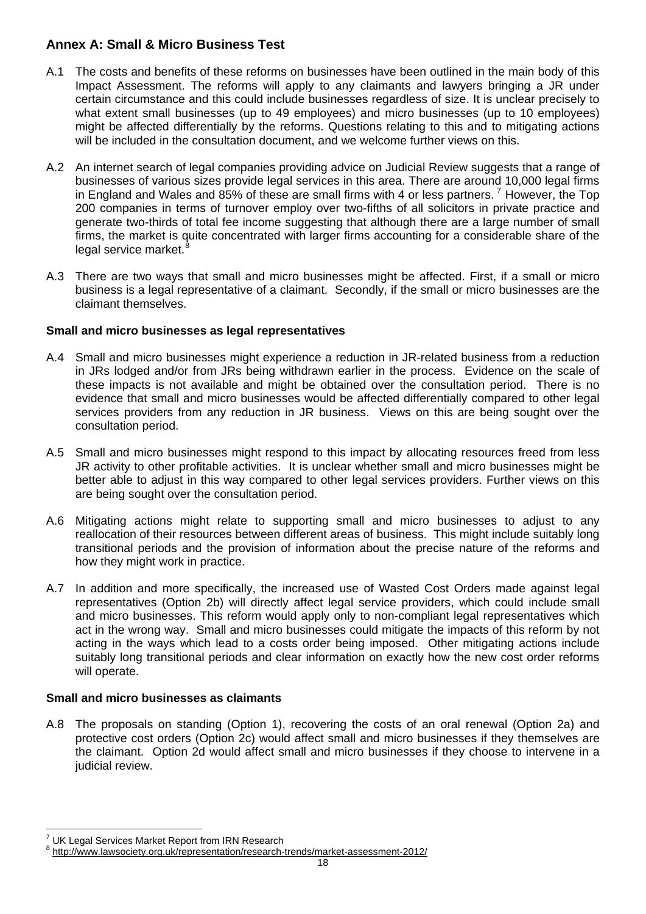## **Annex A: Small & Micro Business Test**

- A.1 The costs and benefits of these reforms on businesses have been outlined in the main body of this Impact Assessment. The reforms will apply to any claimants and lawyers bringing a JR under certain circumstance and this could include businesses regardless of size. It is unclear precisely to what extent small businesses (up to 49 employees) and micro businesses (up to 10 employees) might be affected differentially by the reforms. Questions relating to this and to mitigating actions will be included in the consultation document, and we welcome further views on this.
- A.2 An internet search of legal companies providing advice on Judicial Review suggests that a range of businesses of various sizes provide legal services in this area. There are around 10,000 legal firms in England and Wales and 85% of these are small firms with 4 or less partners.<sup>[7](#page-17-0)</sup> However, the Top 200 companies in terms of turnover employ over two-fifths of all solicitors in private practice and generate two-thirds of total fee income suggesting that although there are a large number of small firms, the market is quite concentrated with larger firms accounting for a considerable share of the legal service market.<sup>[8](#page-17-1)</sup>
- A.3 There are two ways that small and micro businesses might be affected. First, if a small or micro business is a legal representative of a claimant. Secondly, if the small or micro businesses are the claimant themselves.

## **Small and micro businesses as legal representatives**

- A.4 Small and micro businesses might experience a reduction in JR-related business from a reduction in JRs lodged and/or from JRs being withdrawn earlier in the process. Evidence on the scale of these impacts is not available and might be obtained over the consultation period. There is no evidence that small and micro businesses would be affected differentially compared to other legal services providers from any reduction in JR business. Views on this are being sought over the consultation period.
- A.5 Small and micro businesses might respond to this impact by allocating resources freed from less JR activity to other profitable activities. It is unclear whether small and micro businesses might be better able to adjust in this way compared to other legal services providers. Further views on this are being sought over the consultation period.
- A.6 Mitigating actions might relate to supporting small and micro businesses to adjust to any reallocation of their resources between different areas of business. This might include suitably long transitional periods and the provision of information about the precise nature of the reforms and how they might work in practice.
- A.7 In addition and more specifically, the increased use of Wasted Cost Orders made against legal representatives (Option 2b) will directly affect legal service providers, which could include small and micro businesses. This reform would apply only to non-compliant legal representatives which act in the wrong way. Small and micro businesses could mitigate the impacts of this reform by not acting in the ways which lead to a costs order being imposed. Other mitigating actions include suitably long transitional periods and clear information on exactly how the new cost order reforms will operate.

### **Small and micro businesses as claimants**

A.8 The proposals on standing (Option 1), recovering the costs of an oral renewal (Option 2a) and protective cost orders (Option 2c) would affect small and micro businesses if they themselves are the claimant. Option 2d would affect small and micro businesses if they choose to intervene in a judicial review.

l <sup>7</sup> UK Legal Services Market Report from IRN Research

<span id="page-17-1"></span><span id="page-17-0"></span><sup>&</sup>lt;sup>8</sup> <http://www.lawsociety.org.uk/representation/research-trends/market-assessment-2012/>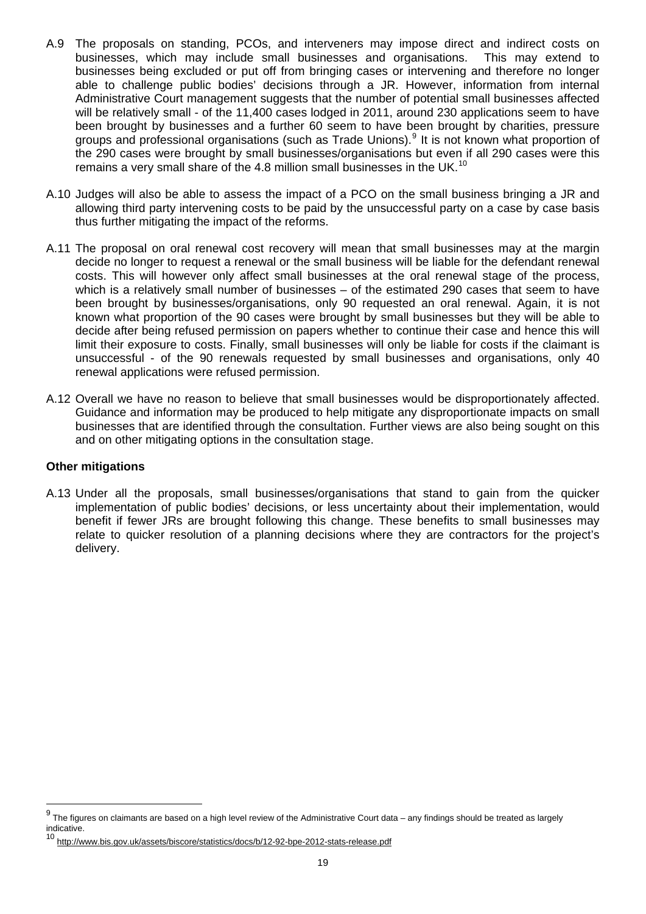- A.9 The proposals on standing, PCOs, and interveners may impose direct and indirect costs on businesses, which may include small businesses and organisations. This may extend to businesses being excluded or put off from bringing cases or intervening and therefore no longer able to challenge public bodies' decisions through a JR. However, information from internal Administrative Court management suggests that the number of potential small businesses affected will be relatively small - of the 11,400 cases lodged in 2011, around 230 applications seem to have been brought by businesses and a further 60 seem to have been brought by charities, pressure groups and professional organisations (such as Trade Unions).<sup>[9](#page-18-0)</sup> It is not known what proportion of the 290 cases were brought by small businesses/organisations but even if all 290 cases were this remains a very small share of the 4.8 million small businesses in the UK.<sup>[10](#page-18-1)</sup>
- A.10 Judges will also be able to assess the impact of a PCO on the small business bringing a JR and allowing third party intervening costs to be paid by the unsuccessful party on a case by case basis thus further mitigating the impact of the reforms.
- A.11 The proposal on oral renewal cost recovery will mean that small businesses may at the margin decide no longer to request a renewal or the small business will be liable for the defendant renewal costs. This will however only affect small businesses at the oral renewal stage of the process, which is a relatively small number of businesses – of the estimated 290 cases that seem to have been brought by businesses/organisations, only 90 requested an oral renewal. Again, it is not known what proportion of the 90 cases were brought by small businesses but they will be able to decide after being refused permission on papers whether to continue their case and hence this will limit their exposure to costs. Finally, small businesses will only be liable for costs if the claimant is unsuccessful - of the 90 renewals requested by small businesses and organisations, only 40 renewal applications were refused permission.
- A.12 Overall we have no reason to believe that small businesses would be disproportionately affected. Guidance and information may be produced to help mitigate any disproportionate impacts on small businesses that are identified through the consultation. Further views are also being sought on this and on other mitigating options in the consultation stage.

#### **Other mitigations**

A.13 Under all the proposals, small businesses/organisations that stand to gain from the quicker implementation of public bodies' decisions, or less uncertainty about their implementation, would benefit if fewer JRs are brought following this change. These benefits to small businesses may relate to quicker resolution of a planning decisions where they are contractors for the project's delivery.

<span id="page-18-0"></span>eral only the figures on claimants are based on a high level review of the Administrative Court data – any findings should be treated as largely<br>The figures on claimants are based on a high level review of the Administrati indicative.

<span id="page-18-1"></span><http://www.bis.gov.uk/assets/biscore/statistics/docs/b/12-92-bpe-2012-stats-release.pdf>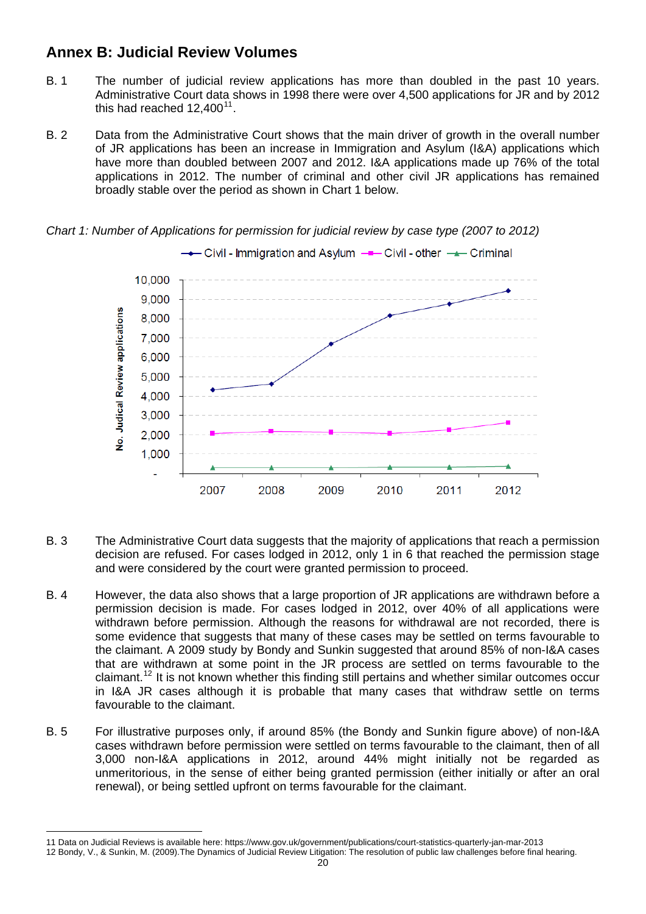## **Annex B: Judicial Review Volumes**

- B. 1 The number of judicial review applications has more than doubled in the past 10 years. Administrative Court data shows in 1998 there were over 4,500 applications for JR and by 2012 this had reached  $12,400^{11}$  $12,400^{11}$  $12,400^{11}$ .
- B. 2 Data from the Administrative Court shows that the main driver of growth in the overall number of JR applications has been an increase in Immigration and Asylum (I&A) applications which have more than doubled between 2007 and 2012. I&A applications made up 76% of the total applications in 2012. The number of criminal and other civil JR applications has remained broadly stable over the period as shown in Chart 1 below.



*Chart 1: Number of Applications for permission for judicial review by case type (2007 to 2012)*

- B. 3 The Administrative Court data suggests that the majority of applications that reach a permission decision are refused. For cases lodged in 2012, only 1 in 6 that reached the permission stage and were considered by the court were granted permission to proceed.
- B. 4 However, the data also shows that a large proportion of JR applications are withdrawn before a permission decision is made. For cases lodged in 2012, over 40% of all applications were withdrawn before permission. Although the reasons for withdrawal are not recorded, there is some evidence that suggests that many of these cases may be settled on terms favourable to the claimant. A 2009 study by Bondy and Sunkin suggested that around 85% of non-I&A cases that are withdrawn at some point in the JR process are settled on terms favourable to the claimant.[12](#page-19-1) It is not known whether this finding still pertains and whether similar outcomes occur in I&A JR cases although it is probable that many cases that withdraw settle on terms favourable to the claimant.
- B. 5 For illustrative purposes only, if around 85% (the Bondy and Sunkin figure above) of non-I&A cases withdrawn before permission were settled on terms favourable to the claimant, then of all 3,000 non-I&A applications in 2012, around 44% might initially not be regarded as unmeritorious, in the sense of either being granted permission (either initially or after an oral renewal), or being settled upfront on terms favourable for the claimant.

<span id="page-19-0"></span>l 11 Data on Judicial Reviews is available here: https://www.gov.uk/government/publications/court-statistics-quarterly-jan-mar-2013

<span id="page-19-1"></span><sup>12</sup> Bondy, V., & Sunkin, M. (2009).The Dynamics of Judicial Review Litigation: The resolution of public law challenges before final hearing.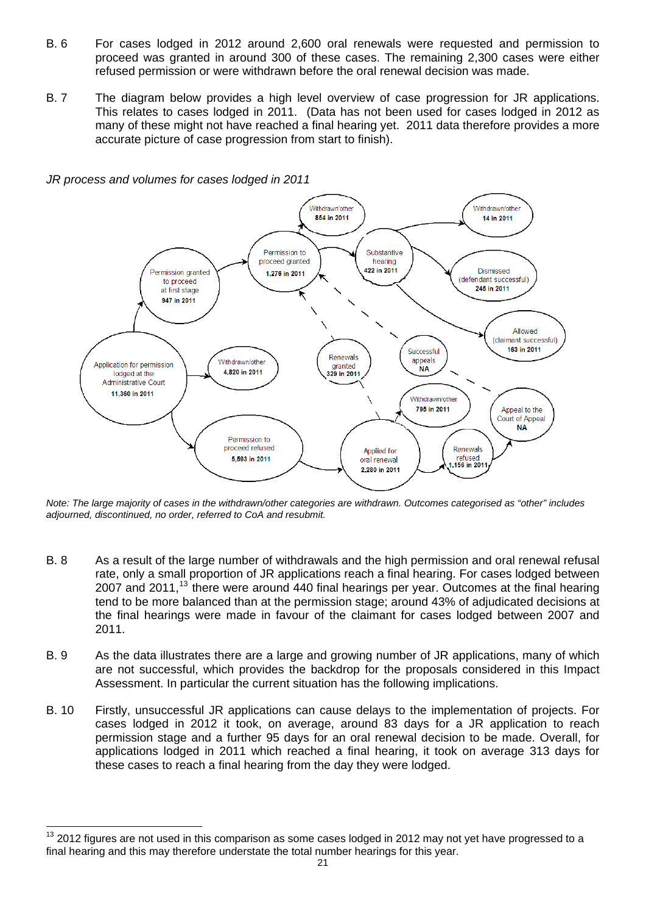- B. 6 For cases lodged in 2012 around 2,600 oral renewals were requested and permission to proceed was granted in around 300 of these cases. The remaining 2,300 cases were either refused permission or were withdrawn before the oral renewal decision was made.
- B. 7 The diagram below provides a high level overview of case progression for JR applications. This relates to cases lodged in 2011. (Data has not been used for cases lodged in 2012 as many of these might not have reached a final hearing yet. 2011 data therefore provides a more accurate picture of case progression from start to finish).

*JR process and volumes for cases lodged in 2011* 

l



*Note: The large majority of cases in the withdrawn/other categories are withdrawn. Outcomes categorised as "other" includes adjourned, discontinued, no order, referred to CoA and resubmit.* 

- B. 8 As a result of the large number of withdrawals and the high permission and oral renewal refusal rate, only a small proportion of JR applications reach a final hearing. For cases lodged between 2007 and 2011, $^{13}$  $^{13}$  $^{13}$  there were around 440 final hearings per year. Outcomes at the final hearing tend to be more balanced than at the permission stage; around 43% of adjudicated decisions at the final hearings were made in favour of the claimant for cases lodged between 2007 and 2011.
- B. 9 As the data illustrates there are a large and growing number of JR applications, many of which are not successful, which provides the backdrop for the proposals considered in this Impact Assessment. In particular the current situation has the following implications.
- B. 10 Firstly, unsuccessful JR applications can cause delays to the implementation of projects. For cases lodged in 2012 it took, on average, around 83 days for a JR application to reach permission stage and a further 95 days for an oral renewal decision to be made. Overall, for applications lodged in 2011 which reached a final hearing, it took on average 313 days for these cases to reach a final hearing from the day they were lodged.

<span id="page-20-0"></span><sup>13 2012</sup> figures are not used in this comparison as some cases lodged in 2012 may not yet have progressed to a final hearing and this may therefore understate the total number hearings for this year.